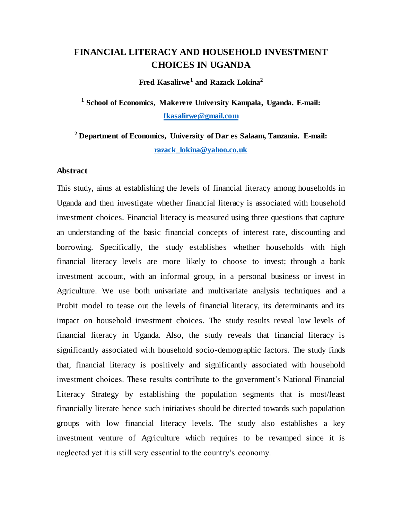## **FINANCIAL LITERACY AND HOUSEHOLD INVESTMENT CHOICES IN UGANDA**

**Fred Kasalirwe<sup>1</sup>and Razack Lokina<sup>2</sup>**

**1 School of Economics, Makerere University Kampala, Uganda. E-mail: [fkasalirwe@gmail.com](mailto:fkasalirwe@gmail.com)**

**<sup>2</sup> Department of Economics, University of Dar es Salaam, Tanzania. E-mail: [razack\\_lokina@yahoo.co.uk](mailto:razack_lokina@yahoo.co.uk)**

#### **Abstract**

This study, aims at establishing the levels of financial literacy among households in Uganda and then investigate whether financial literacy is associated with household investment choices. Financial literacy is measured using three questions that capture an understanding of the basic financial concepts of interest rate, discounting and borrowing. Specifically, the study establishes whether households with high financial literacy levels are more likely to choose to invest; through a bank investment account, with an informal group, in a personal business or invest in Agriculture. We use both univariate and multivariate analysis techniques and a Probit model to tease out the levels of financial literacy, its determinants and its impact on household investment choices. The study results reveal low levels of financial literacy in Uganda. Also, the study reveals that financial literacy is significantly associated with household socio-demographic factors. The study finds that, financial literacy is positively and significantly associated with household investment choices. These results contribute to the government's National Financial Literacy Strategy by establishing the population segments that is most/least financially literate hence such initiatives should be directed towards such population groups with low financial literacy levels. The study also establishes a key investment venture of Agriculture which requires to be revamped since it is neglected yet it is still very essential to the country"s economy.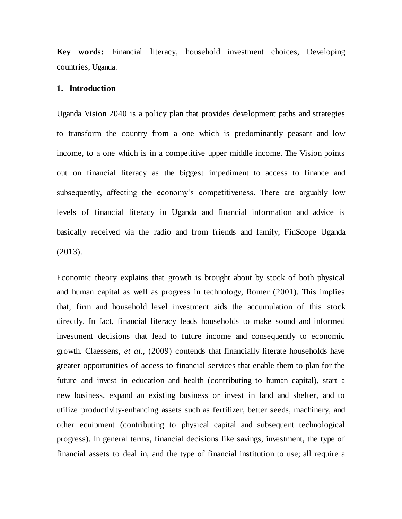**Key words:** Financial literacy, household investment choices, Developing countries, Uganda.

#### **1. Introduction**

Uganda Vision 2040 is a policy plan that provides development paths and strategies to transform the country from a one which is predominantly peasant and low income, to a one which is in a competitive upper middle income. The Vision points out on financial literacy as the biggest impediment to access to finance and subsequently, affecting the economy's competitiveness. There are arguably low levels of financial literacy in Uganda and financial information and advice is basically received via the radio and from friends and family, FinScope Uganda (2013).

Economic theory explains that growth is brought about by stock of both physical and human capital as well as progress in technology, Romer (2001). This implies that, firm and household level investment aids the accumulation of this stock directly. In fact, financial literacy leads households to make sound and informed investment decisions that lead to future income and consequently to economic growth. Claessens, *et al.,* (2009) contends that financially literate households have greater opportunities of access to financial services that enable them to plan for the future and invest in education and health (contributing to human capital), start a new business, expand an existing business or invest in land and shelter, and to utilize productivity-enhancing assets such as fertilizer, better seeds, machinery, and other equipment (contributing to physical capital and subsequent technological progress). In general terms, financial decisions like savings, investment, the type of financial assets to deal in, and the type of financial institution to use; all require a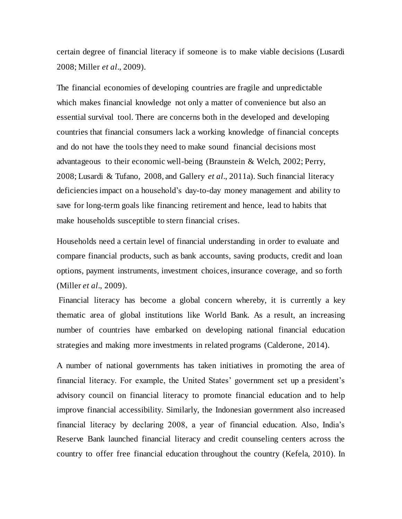certain degree of financial literacy if someone is to make viable decisions (Lusardi 2008; Miller *et al*., 2009).

The financial economies of developing countries are fragile and unpredictable which makes financial knowledge not only a matter of convenience but also an essential survival tool. There are concerns both in the developed and developing countries that financial consumers lack a working knowledge of financial concepts and do not have the tools they need to make sound financial decisions most advantageous to their economic well-being (Braunstein & Welch, 2002; Perry, 2008; Lusardi & Tufano, 2008, and Gallery *et al*., 2011a). Such financial literacy deficiencies impact on a household"s day-to-day money management and ability to save for long-term goals like financing retirement and hence, lead to habits that make households susceptible to stern financial crises.

Households need a certain level of financial understanding in order to evaluate and compare financial products, such as bank accounts, saving products, credit and loan options, payment instruments, investment choices, insurance coverage, and so forth (Miller *et al*., 2009).

Financial literacy has become a global concern whereby, it is currently a key thematic area of global institutions like World Bank. As a result, an increasing number of countries have embarked on developing national financial education strategies and making more investments in related programs (Calderone, 2014).

A number of national governments has taken initiatives in promoting the area of financial literacy. For example, the United States' government set up a president's advisory council on financial literacy to promote financial education and to help improve financial accessibility. Similarly, the Indonesian government also increased financial literacy by declaring 2008, a year of financial education. Also, India"s Reserve Bank launched financial literacy and credit counseling centers across the country to offer free financial education throughout the country (Kefela, 2010). In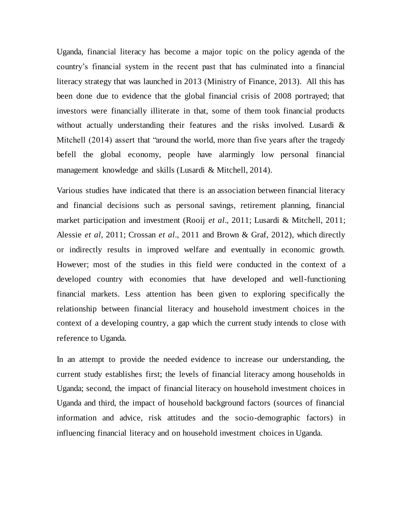Uganda, financial literacy has become a major topic on the policy agenda of the country"s financial system in the recent past that has culminated into a financial literacy strategy that was launched in 2013 (Ministry of Finance, 2013). All this has been done due to evidence that the global financial crisis of 2008 portrayed; that investors were financially illiterate in that, some of them took financial products without actually understanding their features and the risks involved. Lusardi & Mitchell (2014) assert that "around the world, more than five years after the tragedy befell the global economy, people have alarmingly low personal financial management knowledge and skills (Lusardi & Mitchell, 2014).

Various studies have indicated that there is an association between financial literacy and financial decisions such as personal savings, retirement planning, financial market participation and investment (Rooij *et al*., 2011; Lusardi & Mitchell, 2011; Alessie *et al*, 2011; Crossan *et al*., 2011 and Brown & Graf, 2012), which directly or indirectly results in improved welfare and eventually in economic growth. However; most of the studies in this field were conducted in the context of a developed country with economies that have developed and well-functioning financial markets. Less attention has been given to exploring specifically the relationship between financial literacy and household investment choices in the context of a developing country, a gap which the current study intends to close with reference to Uganda.

In an attempt to provide the needed evidence to increase our understanding, the current study establishes first; the levels of financial literacy among households in Uganda; second, the impact of financial literacy on household investment choices in Uganda and third, the impact of household background factors (sources of financial information and advice, risk attitudes and the socio-demographic factors) in influencing financial literacy and on household investment choices in Uganda.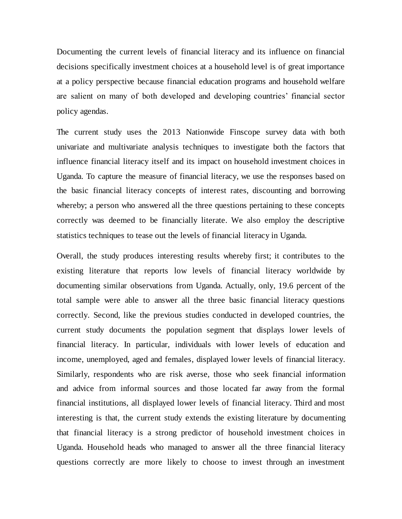Documenting the current levels of financial literacy and its influence on financial decisions specifically investment choices at a household level is of great importance at a policy perspective because financial education programs and household welfare are salient on many of both developed and developing countries" financial sector policy agendas.

The current study uses the 2013 Nationwide Finscope survey data with both univariate and multivariate analysis techniques to investigate both the factors that influence financial literacy itself and its impact on household investment choices in Uganda. To capture the measure of financial literacy, we use the responses based on the basic financial literacy concepts of interest rates, discounting and borrowing whereby; a person who answered all the three questions pertaining to these concepts correctly was deemed to be financially literate. We also employ the descriptive statistics techniques to tease out the levels of financial literacy in Uganda.

Overall, the study produces interesting results whereby first; it contributes to the existing literature that reports low levels of financial literacy worldwide by documenting similar observations from Uganda. Actually, only, 19.6 percent of the total sample were able to answer all the three basic financial literacy questions correctly. Second, like the previous studies conducted in developed countries, the current study documents the population segment that displays lower levels of financial literacy. In particular, individuals with lower levels of education and income, unemployed, aged and females, displayed lower levels of financial literacy. Similarly, respondents who are risk averse, those who seek financial information and advice from informal sources and those located far away from the formal financial institutions, all displayed lower levels of financial literacy. Third and most interesting is that, the current study extends the existing literature by documenting that financial literacy is a strong predictor of household investment choices in Uganda. Household heads who managed to answer all the three financial literacy questions correctly are more likely to choose to invest through an investment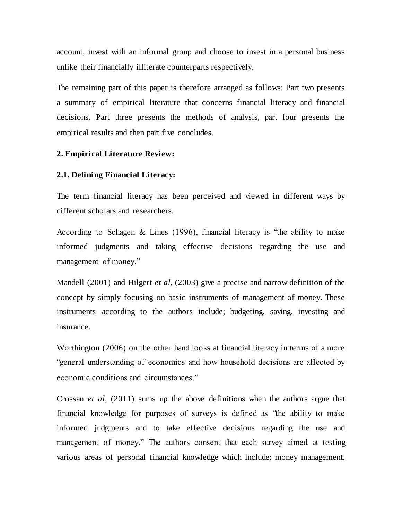account, invest with an informal group and choose to invest in a personal business unlike their financially illiterate counterparts respectively.

The remaining part of this paper is therefore arranged as follows: Part two presents a summary of empirical literature that concerns financial literacy and financial decisions. Part three presents the methods of analysis, part four presents the empirical results and then part five concludes.

#### **2. Empirical Literature Review:**

### **2.1. Defining Financial Literacy:**

The term financial literacy has been perceived and viewed in different ways by different scholars and researchers.

According to Schagen & Lines (1996), financial literacy is "the ability to make informed judgments and taking effective decisions regarding the use and management of money."

Mandell (2001) and Hilgert *et al*, (2003) give a precise and narrow definition of the concept by simply focusing on basic instruments of management of money. These instruments according to the authors include; budgeting, saving, investing and insurance.

Worthington (2006) on the other hand looks at financial literacy in terms of a more "general understanding of economics and how household decisions are affected by economic conditions and circumstances."

Crossan *et al*, (2011) sums up the above definitions when the authors argue that financial knowledge for purposes of surveys is defined as "the ability to make informed judgments and to take effective decisions regarding the use and management of money." The authors consent that each survey aimed at testing various areas of personal financial knowledge which include; money management,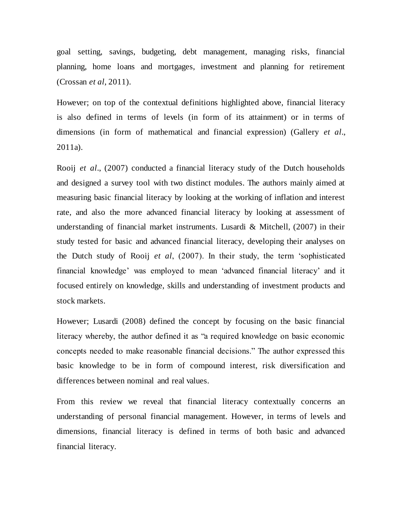goal setting, savings, budgeting, debt management, managing risks, financial planning, home loans and mortgages, investment and planning for retirement (Crossan *et al*, 2011).

However; on top of the contextual definitions highlighted above, financial literacy is also defined in terms of levels (in form of its attainment) or in terms of dimensions (in form of mathematical and financial expression) (Gallery *et al*., 2011a).

Rooij *et al*., (2007) conducted a financial literacy study of the Dutch households and designed a survey tool with two distinct modules. The authors mainly aimed at measuring basic financial literacy by looking at the working of inflation and interest rate, and also the more advanced financial literacy by looking at assessment of understanding of financial market instruments. Lusardi & Mitchell, (2007) in their study tested for basic and advanced financial literacy, developing their analyses on the Dutch study of Rooij *et al*, (2007). In their study, the term "sophisticated financial knowledge" was employed to mean "advanced financial literacy" and it focused entirely on knowledge, skills and understanding of investment products and stock markets.

However; Lusardi (2008) defined the concept by focusing on the basic financial literacy whereby, the author defined it as "a required knowledge on basic economic concepts needed to make reasonable financial decisions." The author expressed this basic knowledge to be in form of compound interest, risk diversification and differences between nominal and real values.

From this review we reveal that financial literacy contextually concerns an understanding of personal financial management. However, in terms of levels and dimensions, financial literacy is defined in terms of both basic and advanced financial literacy.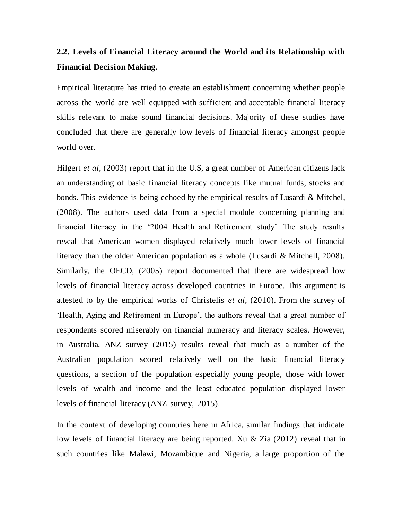# **2.2. Levels of Financial Literacy around the World and its Relationship with Financial Decision Making.**

Empirical literature has tried to create an establishment concerning whether people across the world are well equipped with sufficient and acceptable financial literacy skills relevant to make sound financial decisions. Majority of these studies have concluded that there are generally low levels of financial literacy amongst people world over.

Hilgert *et al*, (2003) report that in the U.S, a great number of American citizens lack an understanding of basic financial literacy concepts like mutual funds, stocks and bonds. This evidence is being echoed by the empirical results of Lusardi & Mitchel, (2008). The authors used data from a special module concerning planning and financial literacy in the "2004 Health and Retirement study". The study results reveal that American women displayed relatively much lower levels of financial literacy than the older American population as a whole (Lusardi & Mitchell, 2008). Similarly, the OECD, (2005) report documented that there are widespread low levels of financial literacy across developed countries in Europe. This argument is attested to by the empirical works of Christelis *et al*, (2010). From the survey of "Health, Aging and Retirement in Europe", the authors reveal that a great number of respondents scored miserably on financial numeracy and literacy scales. However, in Australia, ANZ survey (2015) results reveal that much as a number of the Australian population scored relatively well on the basic financial literacy questions, a section of the population especially young people, those with lower levels of wealth and income and the least educated population displayed lower levels of financial literacy (ANZ survey, 2015).

In the context of developing countries here in Africa, similar findings that indicate low levels of financial literacy are being reported. Xu & Zia (2012) reveal that in such countries like Malawi, Mozambique and Nigeria, a large proportion of the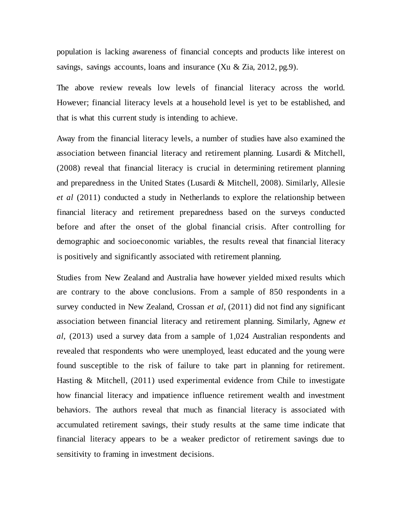population is lacking awareness of financial concepts and products like interest on savings, savings accounts, loans and insurance (Xu & Zia, 2012, pg.9).

The above review reveals low levels of financial literacy across the world. However; financial literacy levels at a household level is yet to be established, and that is what this current study is intending to achieve.

Away from the financial literacy levels, a number of studies have also examined the association between financial literacy and retirement planning. Lusardi & Mitchell, (2008) reveal that financial literacy is crucial in determining retirement planning and preparedness in the United States (Lusardi & Mitchell, 2008). Similarly, Allesie *et al* (2011) conducted a study in Netherlands to explore the relationship between financial literacy and retirement preparedness based on the surveys conducted before and after the onset of the global financial crisis. After controlling for demographic and socioeconomic variables, the results reveal that financial literacy is positively and significantly associated with retirement planning.

Studies from New Zealand and Australia have however yielded mixed results which are contrary to the above conclusions. From a sample of 850 respondents in a survey conducted in New Zealand, Crossan *et al*, (2011) did not find any significant association between financial literacy and retirement planning. Similarly, Agnew *et al*, (2013) used a survey data from a sample of 1,024 Australian respondents and revealed that respondents who were unemployed, least educated and the young were found susceptible to the risk of failure to take part in planning for retirement. Hasting & Mitchell, (2011) used experimental evidence from Chile to investigate how financial literacy and impatience influence retirement wealth and investment behaviors. The authors reveal that much as financial literacy is associated with accumulated retirement savings, their study results at the same time indicate that financial literacy appears to be a weaker predictor of retirement savings due to sensitivity to framing in investment decisions.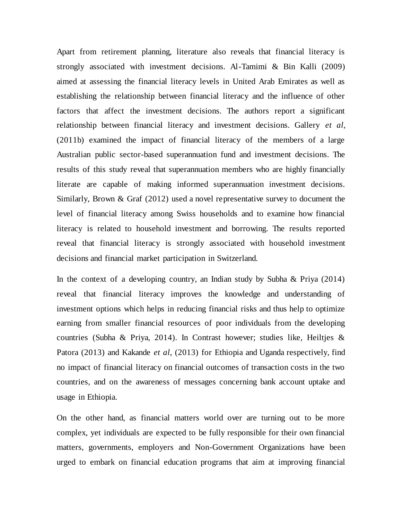Apart from retirement planning, literature also reveals that financial literacy is strongly associated with investment decisions. Al-Tamimi & Bin Kalli (2009) aimed at assessing the financial literacy levels in United Arab Emirates as well as establishing the relationship between financial literacy and the influence of other factors that affect the investment decisions. The authors report a significant relationship between financial literacy and investment decisions. Gallery *et al*, (2011b) examined the impact of financial literacy of the members of a large Australian public sector-based superannuation fund and investment decisions. The results of this study reveal that superannuation members who are highly financially literate are capable of making informed superannuation investment decisions. Similarly, Brown & Graf (2012) used a novel representative survey to document the level of financial literacy among Swiss households and to examine how financial literacy is related to household investment and borrowing. The results reported reveal that financial literacy is strongly associated with household investment decisions and financial market participation in Switzerland.

In the context of a developing country, an Indian study by Subha & Priya (2014) reveal that financial literacy improves the knowledge and understanding of investment options which helps in reducing financial risks and thus help to optimize earning from smaller financial resources of poor individuals from the developing countries (Subha & Priya, 2014). In Contrast however; studies like, Heiltjes & Patora (2013) and Kakande *et al*, (2013) for Ethiopia and Uganda respectively, find no impact of financial literacy on financial outcomes of transaction costs in the two countries, and on the awareness of messages concerning bank account uptake and usage in Ethiopia.

On the other hand, as financial matters world over are turning out to be more complex, yet individuals are expected to be fully responsible for their own financial matters, governments, employers and Non-Government Organizations have been urged to embark on financial education programs that aim at improving financial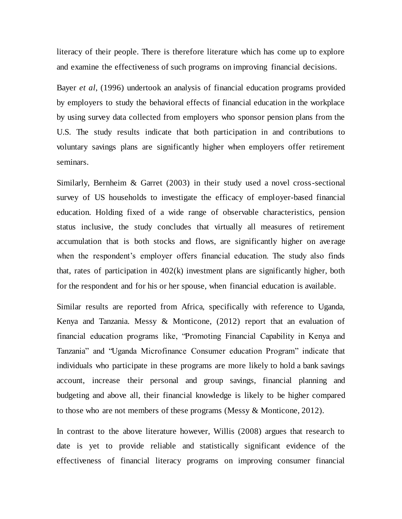literacy of their people. There is therefore literature which has come up to explore and examine the effectiveness of such programs on improving financial decisions.

Bayer *et al*, (1996) undertook an analysis of financial education programs provided by employers to study the behavioral effects of financial education in the workplace by using survey data collected from employers who sponsor pension plans from the U.S. The study results indicate that both participation in and contributions to voluntary savings plans are significantly higher when employers offer retirement seminars.

Similarly, Bernheim & Garret (2003) in their study used a novel cross-sectional survey of US households to investigate the efficacy of employer-based financial education. Holding fixed of a wide range of observable characteristics, pension status inclusive, the study concludes that virtually all measures of retirement accumulation that is both stocks and flows, are significantly higher on average when the respondent's employer offers financial education. The study also finds that, rates of participation in 402(k) investment plans are significantly higher, both for the respondent and for his or her spouse, when financial education is available.

Similar results are reported from Africa, specifically with reference to Uganda, Kenya and Tanzania. Messy & Monticone, (2012) report that an evaluation of financial education programs like, "Promoting Financial Capability in Kenya and Tanzania" and "Uganda Microfinance Consumer education Program" indicate that individuals who participate in these programs are more likely to hold a bank savings account, increase their personal and group savings, financial planning and budgeting and above all, their financial knowledge is likely to be higher compared to those who are not members of these programs (Messy & Monticone, 2012).

In contrast to the above literature however, Willis (2008) argues that research to date is yet to provide reliable and statistically significant evidence of the effectiveness of financial literacy programs on improving consumer financial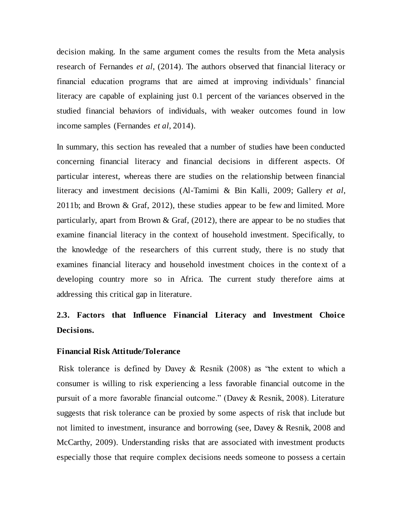decision making. In the same argument comes the results from the Meta analysis research of Fernandes *et al*, (2014). The authors observed that financial literacy or financial education programs that are aimed at improving individuals" financial literacy are capable of explaining just 0.1 percent of the variances observed in the studied financial behaviors of individuals, with weaker outcomes found in low income samples (Fernandes *et al*, 2014).

In summary, this section has revealed that a number of studies have been conducted concerning financial literacy and financial decisions in different aspects. Of particular interest, whereas there are studies on the relationship between financial literacy and investment decisions (Al-Tamimi & Bin Kalli, 2009; Gallery *et al*, 2011b; and Brown & Graf, 2012), these studies appear to be few and limited. More particularly, apart from Brown & Graf, (2012), there are appear to be no studies that examine financial literacy in the context of household investment. Specifically, to the knowledge of the researchers of this current study, there is no study that examines financial literacy and household investment choices in the context of a developing country more so in Africa. The current study therefore aims at addressing this critical gap in literature.

# **2.3. Factors that Influence Financial Literacy and Investment Choice Decisions.**

#### **Financial Risk Attitude/Tolerance**

Risk tolerance is defined by Davey  $\&$  Resnik (2008) as "the extent to which a consumer is willing to risk experiencing a less favorable financial outcome in the pursuit of a more favorable financial outcome." (Davey & Resnik, 2008). Literature suggests that risk tolerance can be proxied by some aspects of risk that include but not limited to investment, insurance and borrowing (see, Davey & Resnik, 2008 and McCarthy, 2009). Understanding risks that are associated with investment products especially those that require complex decisions needs someone to possess a certain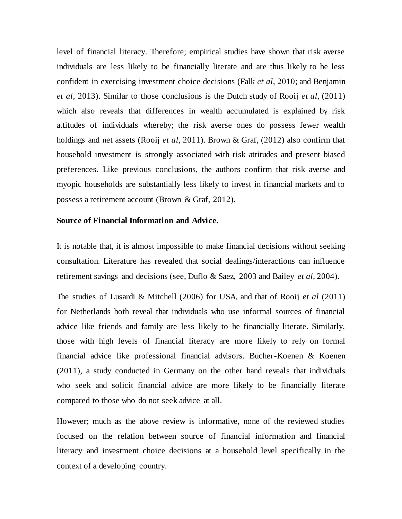level of financial literacy. Therefore; empirical studies have shown that risk averse individuals are less likely to be financially literate and are thus likely to be less confident in exercising investment choice decisions (Falk *et al*, 2010; and Benjamin *et al*, 2013). Similar to those conclusions is the Dutch study of Rooij *et al*, (2011) which also reveals that differences in wealth accumulated is explained by risk attitudes of individuals whereby; the risk averse ones do possess fewer wealth holdings and net assets (Rooij *et al*, 2011). Brown & Graf, (2012) also confirm that household investment is strongly associated with risk attitudes and present biased preferences. Like previous conclusions, the authors confirm that risk averse and myopic households are substantially less likely to invest in financial markets and to possess a retirement account (Brown & Graf, 2012).

#### **Source of Financial Information and Advice.**

It is notable that, it is almost impossible to make financial decisions without seeking consultation. Literature has revealed that social dealings/interactions can influence retirement savings and decisions (see, Duflo & Saez, 2003 and Bailey *et al*, 2004).

The studies of Lusardi & Mitchell (2006) for USA, and that of Rooij *et al* (2011) for Netherlands both reveal that individuals who use informal sources of financial advice like friends and family are less likely to be financially literate. Similarly, those with high levels of financial literacy are more likely to rely on formal financial advice like professional financial advisors. Bucher-Koenen & Koenen (2011), a study conducted in Germany on the other hand reveals that individuals who seek and solicit financial advice are more likely to be financially literate compared to those who do not seek advice at all.

However; much as the above review is informative, none of the reviewed studies focused on the relation between source of financial information and financial literacy and investment choice decisions at a household level specifically in the context of a developing country.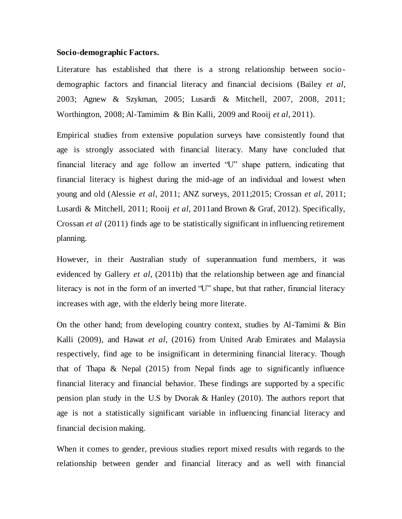#### **Socio-demographic Factors.**

Literature has established that there is a strong relationship between sociodemographic factors and financial literacy and financial decisions (Bailey *et al*, 2003; Agnew & Szykman, 2005; Lusardi & Mitchell, 2007, 2008, 2011; Worthington, 2008; Al-Tamimim & Bin Kalli, 2009 and Rooij *et al*, 2011).

Empirical studies from extensive population surveys have consistently found that age is strongly associated with financial literacy. Many have concluded that financial literacy and age follow an inverted "U" shape pattern, indicating that financial literacy is highest during the mid-age of an individual and lowest when young and old (Alessie *et al*, 2011; ANZ surveys, 2011;2015; Crossan *et al*, 2011; Lusardi & Mitchell, 2011; Rooij *et al*, 2011and Brown & Graf, 2012). Specifically, Crossan *et al* (2011) finds age to be statistically significant in influencing retirement planning.

However, in their Australian study of superannuation fund members, it was evidenced by Gallery *et al*, (2011b) that the relationship between age and financial literacy is not in the form of an inverted "U" shape, but that rather, financial literacy increases with age, with the elderly being more literate.

On the other hand; from developing country context, studies by Al-Tamimi & Bin Kalli (2009), and Hawat *et al*, (2016) from United Arab Emirates and Malaysia respectively, find age to be insignificant in determining financial literacy. Though that of Thapa & Nepal (2015) from Nepal finds age to significantly influence financial literacy and financial behavior. These findings are supported by a specific pension plan study in the U.S by Dvorak & Hanley (2010). The authors report that age is not a statistically significant variable in influencing financial literacy and financial decision making.

When it comes to gender, previous studies report mixed results with regards to the relationship between gender and financial literacy and as well with financial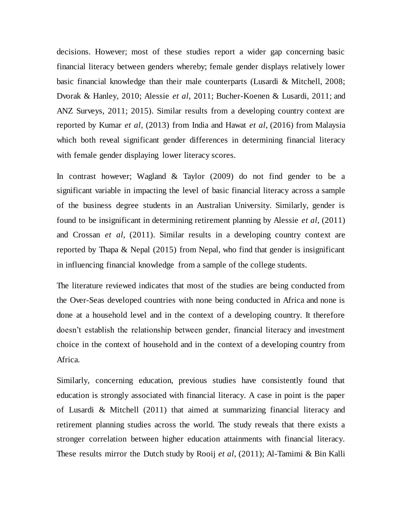decisions. However; most of these studies report a wider gap concerning basic financial literacy between genders whereby; female gender displays relatively lower basic financial knowledge than their male counterparts (Lusardi & Mitchell, 2008; Dvorak & Hanley, 2010; Alessie *et al*, 2011; Bucher-Koenen & Lusardi, 2011; and ANZ Surveys, 2011; 2015). Similar results from a developing country context are reported by Kumar *et al*, (2013) from India and Hawat *et al*, (2016) from Malaysia which both reveal significant gender differences in determining financial literacy with female gender displaying lower literacy scores.

In contrast however; Wagland & Taylor (2009) do not find gender to be a significant variable in impacting the level of basic financial literacy across a sample of the business degree students in an Australian University. Similarly, gender is found to be insignificant in determining retirement planning by Alessie *et al*, (2011) and Crossan *et al*, (2011). Similar results in a developing country context are reported by Thapa & Nepal (2015) from Nepal, who find that gender is insignificant in influencing financial knowledge from a sample of the college students.

The literature reviewed indicates that most of the studies are being conducted from the Over-Seas developed countries with none being conducted in Africa and none is done at a household level and in the context of a developing country. It therefore doesn"t establish the relationship between gender, financial literacy and investment choice in the context of household and in the context of a developing country from Africa.

Similarly, concerning education, previous studies have consistently found that education is strongly associated with financial literacy. A case in point is the paper of Lusardi & Mitchell (2011) that aimed at summarizing financial literacy and retirement planning studies across the world. The study reveals that there exists a stronger correlation between higher education attainments with financial literacy. These results mirror the Dutch study by Rooij *et al*, (2011); Al-Tamimi & Bin Kalli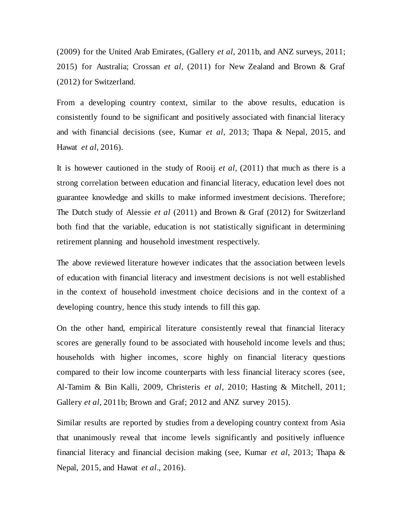(2009) for the United Arab Emirates, (Gallery *et al*, 2011b, and ANZ surveys, 2011; 2015) for Australia; Crossan *et al*, (2011) for New Zealand and Brown & Graf (2012) for Switzerland.

From a developing country context, similar to the above results, education is consistently found to be significant and positively associated with financial literacy and with financial decisions (see, Kumar *et al*, 2013; Thapa & Nepal, 2015, and Hawat *et al*, 2016).

It is however cautioned in the study of Rooij *et al*, (2011) that much as there is a strong correlation between education and financial literacy, education level does not guarantee knowledge and skills to make informed investment decisions. Therefore; The Dutch study of Alessie *et al* (2011) and Brown & Graf (2012) for Switzerland both find that the variable, education is not statistically significant in determining retirement planning and household investment respectively.

The above reviewed literature however indicates that the association between levels of education with financial literacy and investment decisions is not well established in the context of household investment choice decisions and in the context of a developing country, hence this study intends to fill this gap.

On the other hand, empirical literature consistently reveal that financial literacy scores are generally found to be associated with household income levels and thus; households with higher incomes, score highly on financial literacy questions compared to their low income counterparts with less financial literacy scores (see, Al-Tamim & Bin Kalli, 2009, Christeris *et al*, 2010; Hasting & Mitchell, 2011; Gallery *et al*, 2011b; Brown and Graf; 2012 and ANZ survey 2015).

Similar results are reported by studies from a developing country context from Asia that unanimously reveal that income levels significantly and positively influence financial literacy and financial decision making (see, Kumar *et al*, 2013; Thapa & Nepal, 2015, and Hawat *et al*., 2016).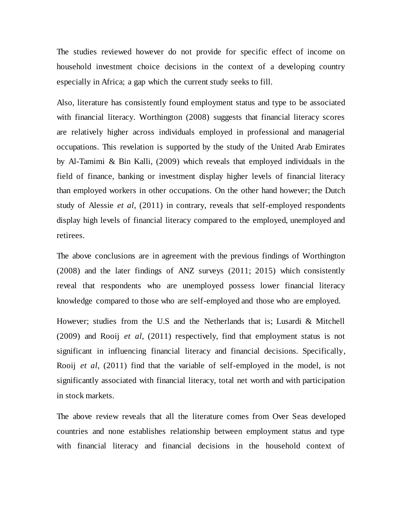The studies reviewed however do not provide for specific effect of income on household investment choice decisions in the context of a developing country especially in Africa; a gap which the current study seeks to fill.

Also, literature has consistently found employment status and type to be associated with financial literacy. Worthington (2008) suggests that financial literacy scores are relatively higher across individuals employed in professional and managerial occupations. This revelation is supported by the study of the United Arab Emirates by Al-Tamimi & Bin Kalli, (2009) which reveals that employed individuals in the field of finance, banking or investment display higher levels of financial literacy than employed workers in other occupations. On the other hand however; the Dutch study of Alessie *et al*, (2011) in contrary, reveals that self-employed respondents display high levels of financial literacy compared to the employed, unemployed and retirees.

The above conclusions are in agreement with the previous findings of Worthington (2008) and the later findings of ANZ surveys (2011; 2015) which consistently reveal that respondents who are unemployed possess lower financial literacy knowledge compared to those who are self-employed and those who are employed.

However; studies from the U.S and the Netherlands that is; Lusardi & Mitchell (2009) and Rooij *et al*, (2011) respectively, find that employment status is not significant in influencing financial literacy and financial decisions. Specifically, Rooij *et al*, (2011) find that the variable of self-employed in the model, is not significantly associated with financial literacy, total net worth and with participation in stock markets.

The above review reveals that all the literature comes from Over Seas developed countries and none establishes relationship between employment status and type with financial literacy and financial decisions in the household context of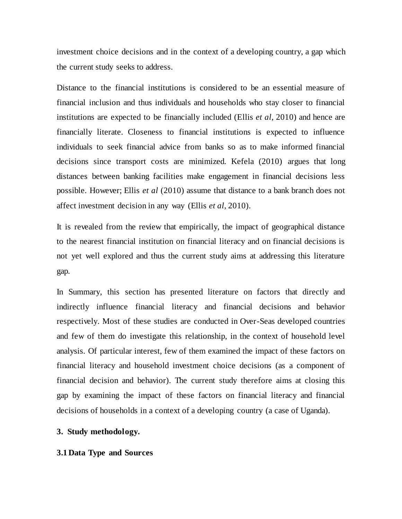investment choice decisions and in the context of a developing country, a gap which the current study seeks to address.

Distance to the financial institutions is considered to be an essential measure of financial inclusion and thus individuals and households who stay closer to financial institutions are expected to be financially included (Ellis *et al*, 2010) and hence are financially literate. Closeness to financial institutions is expected to influence individuals to seek financial advice from banks so as to make informed financial decisions since transport costs are minimized. Kefela (2010) argues that long distances between banking facilities make engagement in financial decisions less possible. However; Ellis *et al* (2010) assume that distance to a bank branch does not affect investment decision in any way (Ellis *et al*, 2010).

It is revealed from the review that empirically, the impact of geographical distance to the nearest financial institution on financial literacy and on financial decisions is not yet well explored and thus the current study aims at addressing this literature gap.

In Summary, this section has presented literature on factors that directly and indirectly influence financial literacy and financial decisions and behavior respectively. Most of these studies are conducted in Over-Seas developed countries and few of them do investigate this relationship, in the context of household level analysis. Of particular interest, few of them examined the impact of these factors on financial literacy and household investment choice decisions (as a component of financial decision and behavior). The current study therefore aims at closing this gap by examining the impact of these factors on financial literacy and financial decisions of households in a context of a developing country (a case of Uganda).

#### **3. Study methodology.**

#### **3.1 Data Type and Sources**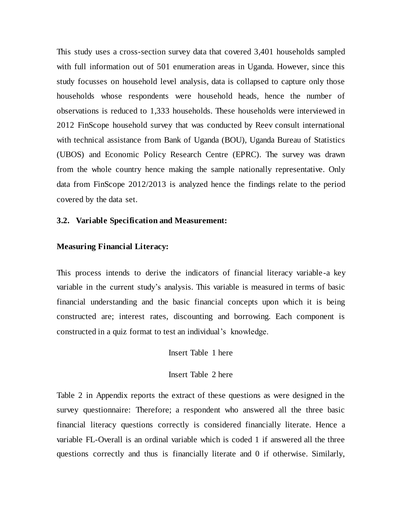This study uses a cross-section survey data that covered 3,401 households sampled with full information out of 501 enumeration areas in Uganda. However, since this study focusses on household level analysis, data is collapsed to capture only those households whose respondents were household heads, hence the number of observations is reduced to 1,333 households. These households were interviewed in 2012 FinScope household survey that was conducted by Reev consult international with technical assistance from Bank of Uganda (BOU), Uganda Bureau of Statistics (UBOS) and Economic Policy Research Centre (EPRC). The survey was drawn from the whole country hence making the sample nationally representative. Only data from FinScope 2012/2013 is analyzed hence the findings relate to the period covered by the data set.

#### **3.2. Variable Specification and Measurement:**

#### **Measuring Financial Literacy:**

This process intends to derive the indicators of financial literacy variable-a key variable in the current study"s analysis. This variable is measured in terms of basic financial understanding and the basic financial concepts upon which it is being constructed are; interest rates, discounting and borrowing. Each component is constructed in a quiz format to test an individual's knowledge.

Insert Table 1 here

Insert Table 2 here

Table 2 in Appendix reports the extract of these questions as were designed in the survey questionnaire: Therefore; a respondent who answered all the three basic financial literacy questions correctly is considered financially literate. Hence a variable FL-Overall is an ordinal variable which is coded 1 if answered all the three questions correctly and thus is financially literate and 0 if otherwise. Similarly,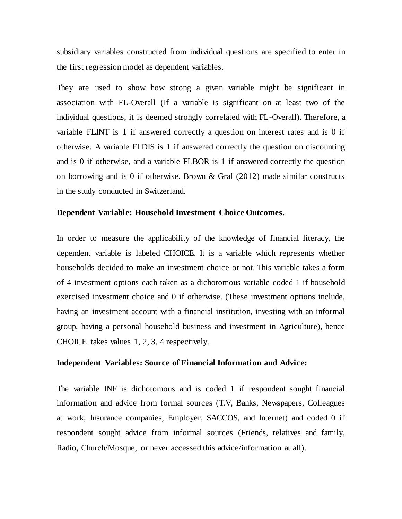subsidiary variables constructed from individual questions are specified to enter in the first regression model as dependent variables.

They are used to show how strong a given variable might be significant in association with FL-Overall (If a variable is significant on at least two of the individual questions, it is deemed strongly correlated with FL-Overall). Therefore, a variable FLINT is 1 if answered correctly a question on interest rates and is 0 if otherwise. A variable FLDIS is 1 if answered correctly the question on discounting and is 0 if otherwise, and a variable FLBOR is 1 if answered correctly the question on borrowing and is 0 if otherwise. Brown  $\&$  Graf (2012) made similar constructs in the study conducted in Switzerland.

#### **Dependent Variable: Household Investment Choice Outcomes.**

In order to measure the applicability of the knowledge of financial literacy, the dependent variable is labeled CHOICE. It is a variable which represents whether households decided to make an investment choice or not. This variable takes a form of 4 investment options each taken as a dichotomous variable coded 1 if household exercised investment choice and 0 if otherwise. (These investment options include, having an investment account with a financial institution, investing with an informal group, having a personal household business and investment in Agriculture), hence CHOICE takes values 1, 2, 3, 4 respectively.

#### **Independent Variables: Source of Financial Information and Advice:**

The variable INF is dichotomous and is coded 1 if respondent sought financial information and advice from formal sources (T.V, Banks, Newspapers, Colleagues at work, Insurance companies, Employer, SACCOS, and Internet) and coded 0 if respondent sought advice from informal sources (Friends, relatives and family, Radio, Church/Mosque, or never accessed this advice/information at all).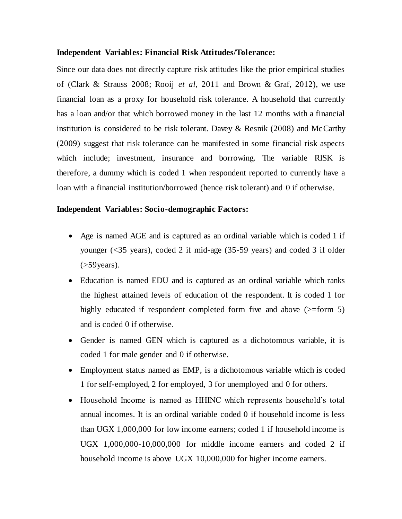#### **Independent Variables: Financial Risk Attitudes/Tolerance:**

Since our data does not directly capture risk attitudes like the prior empirical studies of (Clark & Strauss 2008; Rooij *et al*, 2011 and Brown & Graf, 2012), we use financial loan as a proxy for household risk tolerance. A household that currently has a loan and/or that which borrowed money in the last 12 months with a financial institution is considered to be risk tolerant. Davey & Resnik (2008) and McCarthy (2009) suggest that risk tolerance can be manifested in some financial risk aspects which include; investment, insurance and borrowing. The variable RISK is therefore, a dummy which is coded 1 when respondent reported to currently have a loan with a financial institution/borrowed (hence risk tolerant) and 0 if otherwise.

#### **Independent Variables: Socio-demographic Factors:**

- Age is named AGE and is captured as an ordinal variable which is coded 1 if younger (<35 years), coded 2 if mid-age (35-59 years) and coded 3 if older  $($ >59 $\gamma$ ears).
- Education is named EDU and is captured as an ordinal variable which ranks the highest attained levels of education of the respondent. It is coded 1 for highly educated if respondent completed form five and above ( $>$ form 5) and is coded 0 if otherwise.
- Gender is named GEN which is captured as a dichotomous variable, it is coded 1 for male gender and 0 if otherwise.
- Employment status named as EMP, is a dichotomous variable which is coded 1 for self-employed, 2 for employed, 3 for unemployed and 0 for others.
- Household Income is named as HHINC which represents household's total annual incomes. It is an ordinal variable coded 0 if household income is less than UGX 1,000,000 for low income earners; coded 1 if household income is UGX 1,000,000-10,000,000 for middle income earners and coded 2 if household income is above UGX 10,000,000 for higher income earners.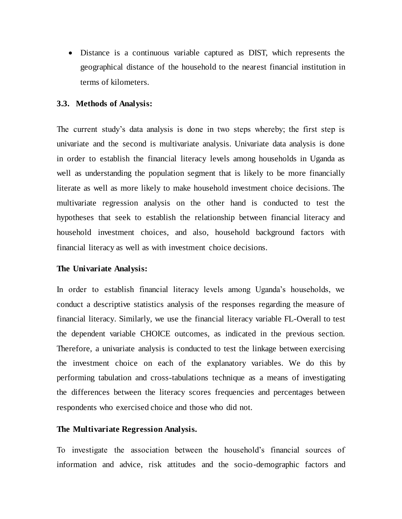Distance is a continuous variable captured as DIST, which represents the geographical distance of the household to the nearest financial institution in terms of kilometers.

#### **3.3. Methods of Analysis:**

The current study"s data analysis is done in two steps whereby; the first step is univariate and the second is multivariate analysis. Univariate data analysis is done in order to establish the financial literacy levels among households in Uganda as well as understanding the population segment that is likely to be more financially literate as well as more likely to make household investment choice decisions. The multivariate regression analysis on the other hand is conducted to test the hypotheses that seek to establish the relationship between financial literacy and household investment choices, and also, household background factors with financial literacy as well as with investment choice decisions.

#### **The Univariate Analysis:**

In order to establish financial literacy levels among Uganda"s households, we conduct a descriptive statistics analysis of the responses regarding the measure of financial literacy. Similarly, we use the financial literacy variable FL-Overall to test the dependent variable CHOICE outcomes, as indicated in the previous section. Therefore, a univariate analysis is conducted to test the linkage between exercising the investment choice on each of the explanatory variables. We do this by performing tabulation and cross-tabulations technique as a means of investigating the differences between the literacy scores frequencies and percentages between respondents who exercised choice and those who did not.

#### **The Multivariate Regression Analysis.**

To investigate the association between the household"s financial sources of information and advice, risk attitudes and the socio-demographic factors and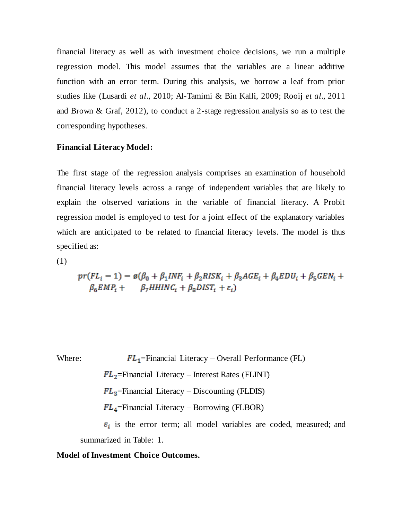financial literacy as well as with investment choice decisions, we run a multiple regression model. This model assumes that the variables are a linear additive function with an error term. During this analysis, we borrow a leaf from prior studies like (Lusardi *et al*., 2010; Al-Tamimi & Bin Kalli, 2009; Rooij *et al*., 2011 and Brown & Graf, 2012), to conduct a 2-stage regression analysis so as to test the corresponding hypotheses.

#### **Financial Literacy Model:**

The first stage of the regression analysis comprises an examination of household financial literacy levels across a range of independent variables that are likely to explain the observed variations in the variable of financial literacy. A Probit regression model is employed to test for a joint effect of the explanatory variables which are anticipated to be related to financial literacy levels. The model is thus specified as:

(1)

$$
pr(FL_i = 1) = \emptyset (\beta_0 + \beta_1 INF_i + \beta_2 RISK_i + \beta_3 AGE_i + \beta_4 EDU_i + \beta_5 GEN_i + \beta_6 EMP_i + \beta_7 H HINC_i + \beta_8 DIST_i + \varepsilon_i)
$$

Where: 
$$
FL_1
$$
=Financial Literary – Overall Performance (FL)

 $FL_2$ =Financial Literacy – Interest Rates (FLINT)

 $FL_3$ =Financial Literacy – Discounting (FLDIS)

 $FL_4$ =Financial Literacy – Borrowing (FLBOR)

 $\varepsilon_i$  is the error term; all model variables are coded, measured; and summarized in Table: 1.

#### **Model of Investment Choice Outcomes.**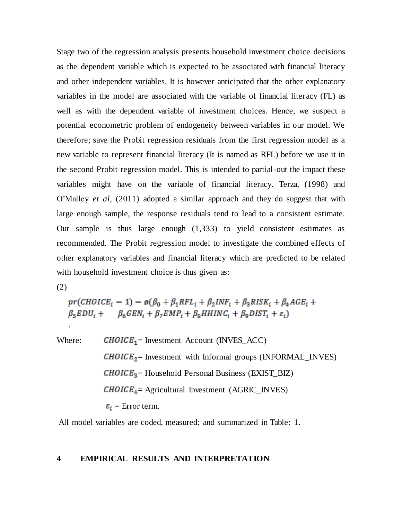Stage two of the regression analysis presents household investment choice decisions as the dependent variable which is expected to be associated with financial literacy and other independent variables. It is however anticipated that the other explanatory variables in the model are associated with the variable of financial literacy (FL) as well as with the dependent variable of investment choices. Hence, we suspect a potential econometric problem of endogeneity between variables in our model. We therefore; save the Probit regression residuals from the first regression model as a new variable to represent financial literacy (It is named as RFL) before we use it in the second Probit regression model. This is intended to partial-out the impact these variables might have on the variable of financial literacy. Terza, (1998) and O"Malley *et al*, (2011) adopted a similar approach and they do suggest that with large enough sample, the response residuals tend to lead to a consistent estimate. Our sample is thus large enough (1,333) to yield consistent estimates as recommended. The Probit regression model to investigate the combined effects of other explanatory variables and financial literacy which are predicted to be related with household investment choice is thus given as:

(2)

.

 $pr(CHOICE_i = 1) = \emptyset(\beta_0 + \beta_1 RFL_i + \beta_2 INF_i + \beta_3 RISK_i + \beta_4 AGE_i +$  $\beta_5 EDU_i + \beta_6 GEN_i + \beta_7 EMP_i + \beta_8 HHINC_i + \beta_9 DIST_i + \varepsilon_i)$ 

Where:  $CHOICE<sub>1</sub>$  = Investment Account (INVES\_ACC)  $CHOICE<sub>2</sub>$  = Investment with Informal groups (INFORMAL\_INVES)  $CHOICE<sub>3</sub>$  = Household Personal Business (EXIST\_BIZ)  $CHOICE<sub>4</sub>$  = Agricultural Investment (AGRIC\_INVES)  $\varepsilon_i$  = Error term.

All model variables are coded, measured; and summarized in Table: 1.

#### **4 EMPIRICAL RESULTS AND INTERPRETATION**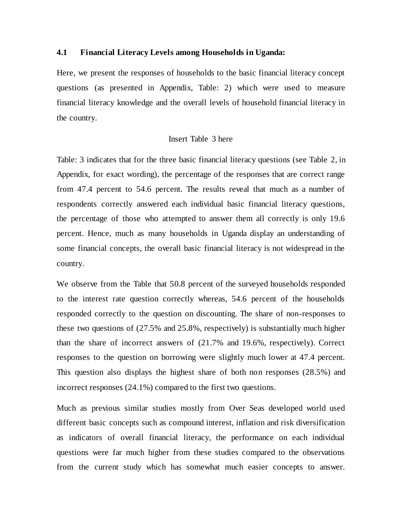#### **4.1 Financial Literacy Levels among Households in Uganda:**

Here, we present the responses of households to the basic financial literacy concept questions (as presented in Appendix, Table: 2) which were used to measure financial literacy knowledge and the overall levels of household financial literacy in the country.

#### Insert Table 3 here

Table: 3 indicates that for the three basic financial literacy questions (see Table 2, in Appendix, for exact wording), the percentage of the responses that are correct range from 47.4 percent to 54.6 percent. The results reveal that much as a number of respondents correctly answered each individual basic financial literacy questions, the percentage of those who attempted to answer them all correctly is only 19.6 percent. Hence, much as many households in Uganda display an understanding of some financial concepts, the overall basic financial literacy is not widespread in the country.

We observe from the Table that 50.8 percent of the surveyed households responded to the interest rate question correctly whereas, 54.6 percent of the households responded correctly to the question on discounting. The share of non-responses to these two questions of (27.5% and 25.8%, respectively) is substantially much higher than the share of incorrect answers of (21.7% and 19.6%, respectively). Correct responses to the question on borrowing were slightly much lower at 47.4 percent. This question also displays the highest share of both non responses (28.5%) and incorrect responses (24.1%) compared to the first two questions.

Much as previous similar studies mostly from Over Seas developed world used different basic concepts such as compound interest, inflation and risk diversification as indicators of overall financial literacy, the performance on each individual questions were far much higher from these studies compared to the observations from the current study which has somewhat much easier concepts to answer.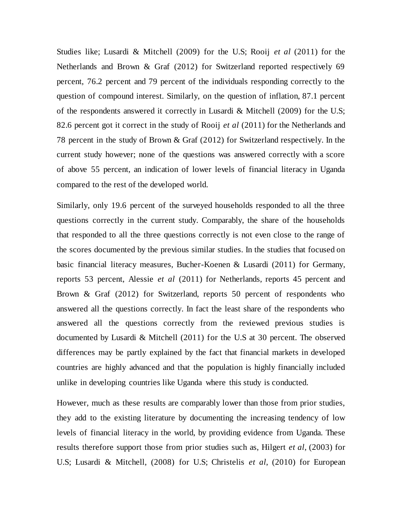Studies like; Lusardi & Mitchell (2009) for the U.S; Rooij *et al* (2011) for the Netherlands and Brown & Graf (2012) for Switzerland reported respectively 69 percent, 76.2 percent and 79 percent of the individuals responding correctly to the question of compound interest. Similarly, on the question of inflation, 87.1 percent of the respondents answered it correctly in Lusardi & Mitchell (2009) for the U.S; 82.6 percent got it correct in the study of Rooij *et al* (2011) for the Netherlands and 78 percent in the study of Brown & Graf (2012) for Switzerland respectively. In the current study however; none of the questions was answered correctly with a score of above 55 percent, an indication of lower levels of financial literacy in Uganda compared to the rest of the developed world.

Similarly, only 19.6 percent of the surveyed households responded to all the three questions correctly in the current study. Comparably, the share of the households that responded to all the three questions correctly is not even close to the range of the scores documented by the previous similar studies. In the studies that focused on basic financial literacy measures, Bucher-Koenen & Lusardi (2011) for Germany, reports 53 percent, Alessie *et al* (2011) for Netherlands, reports 45 percent and Brown & Graf (2012) for Switzerland, reports 50 percent of respondents who answered all the questions correctly. In fact the least share of the respondents who answered all the questions correctly from the reviewed previous studies is documented by Lusardi & Mitchell (2011) for the U.S at 30 percent. The observed differences may be partly explained by the fact that financial markets in developed countries are highly advanced and that the population is highly financially included unlike in developing countries like Uganda where this study is conducted.

However, much as these results are comparably lower than those from prior studies, they add to the existing literature by documenting the increasing tendency of low levels of financial literacy in the world, by providing evidence from Uganda. These results therefore support those from prior studies such as, Hilgert *et al*, (2003) for U.S; Lusardi & Mitchell, (2008) for U.S; Christelis *et al*, (2010) for European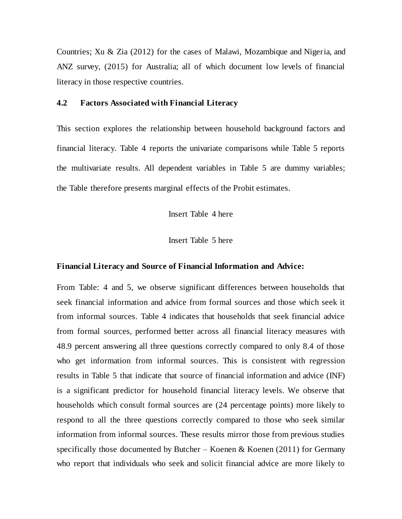Countries; Xu & Zia (2012) for the cases of Malawi, Mozambique and Nigeria, and ANZ survey, (2015) for Australia; all of which document low levels of financial literacy in those respective countries.

### **4.2 Factors Associated with Financial Literacy**

This section explores the relationship between household background factors and financial literacy. Table 4 reports the univariate comparisons while Table 5 reports the multivariate results. All dependent variables in Table 5 are dummy variables; the Table therefore presents marginal effects of the Probit estimates.

Insert Table 4 here

Insert Table 5 here

#### **Financial Literacy and Source of Financial Information and Advice:**

From Table: 4 and 5, we observe significant differences between households that seek financial information and advice from formal sources and those which seek it from informal sources. Table 4 indicates that households that seek financial advice from formal sources, performed better across all financial literacy measures with 48.9 percent answering all three questions correctly compared to only 8.4 of those who get information from informal sources. This is consistent with regression results in Table 5 that indicate that source of financial information and advice (INF) is a significant predictor for household financial literacy levels. We observe that households which consult formal sources are (24 percentage points) more likely to respond to all the three questions correctly compared to those who seek similar information from informal sources. These results mirror those from previous studies specifically those documented by Butcher – Koenen  $\&$  Koenen (2011) for Germany who report that individuals who seek and solicit financial advice are more likely to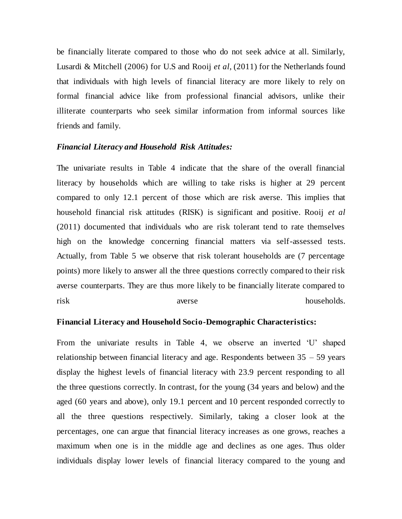be financially literate compared to those who do not seek advice at all. Similarly, Lusardi & Mitchell (2006) for U.S and Rooij *et al*, (2011) for the Netherlands found that individuals with high levels of financial literacy are more likely to rely on formal financial advice like from professional financial advisors, unlike their illiterate counterparts who seek similar information from informal sources like friends and family.

#### *Financial Literacy and Household Risk Attitudes:*

The univariate results in Table 4 indicate that the share of the overall financial literacy by households which are willing to take risks is higher at 29 percent compared to only 12.1 percent of those which are risk averse. This implies that household financial risk attitudes (RISK) is significant and positive. Rooij *et al* (2011) documented that individuals who are risk tolerant tend to rate themselves high on the knowledge concerning financial matters via self-assessed tests. Actually, from Table 5 we observe that risk tolerant households are (7 percentage points) more likely to answer all the three questions correctly compared to their risk averse counterparts. They are thus more likely to be financially literate compared to risk averse averse households.

#### **Financial Literacy and Household Socio-Demographic Characteristics:**

From the univariate results in Table 4, we observe an inverted 'U' shaped relationship between financial literacy and age. Respondents between 35 – 59 years display the highest levels of financial literacy with 23.9 percent responding to all the three questions correctly. In contrast, for the young (34 years and below) and the aged (60 years and above), only 19.1 percent and 10 percent responded correctly to all the three questions respectively. Similarly, taking a closer look at the percentages, one can argue that financial literacy increases as one grows, reaches a maximum when one is in the middle age and declines as one ages. Thus older individuals display lower levels of financial literacy compared to the young and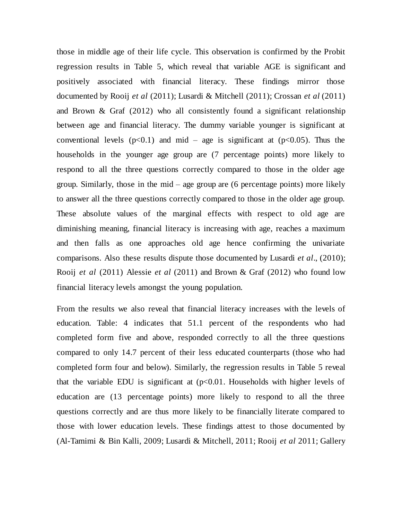those in middle age of their life cycle. This observation is confirmed by the Probit regression results in Table 5, which reveal that variable AGE is significant and positively associated with financial literacy. These findings mirror those documented by Rooij *et al* (2011); Lusardi & Mitchell (2011); Crossan *et al* (2011) and Brown & Graf (2012) who all consistently found a significant relationship between age and financial literacy. The dummy variable younger is significant at conventional levels  $(p<0.1)$  and mid – age is significant at  $(p<0.05)$ . Thus the households in the younger age group are (7 percentage points) more likely to respond to all the three questions correctly compared to those in the older age group. Similarly, those in the mid – age group are (6 percentage points) more likely to answer all the three questions correctly compared to those in the older age group. These absolute values of the marginal effects with respect to old age are diminishing meaning, financial literacy is increasing with age, reaches a maximum and then falls as one approaches old age hence confirming the univariate comparisons. Also these results dispute those documented by Lusardi *et al*., (2010); Rooij *et al* (2011) Alessie *et al* (2011) and Brown & Graf (2012) who found low financial literacy levels amongst the young population.

From the results we also reveal that financial literacy increases with the levels of education. Table: 4 indicates that 51.1 percent of the respondents who had completed form five and above, responded correctly to all the three questions compared to only 14.7 percent of their less educated counterparts (those who had completed form four and below). Similarly, the regression results in Table 5 reveal that the variable EDU is significant at  $(p<0.01$ . Households with higher levels of education are (13 percentage points) more likely to respond to all the three questions correctly and are thus more likely to be financially literate compared to those with lower education levels. These findings attest to those documented by (Al-Tamimi & Bin Kalli, 2009; Lusardi & Mitchell, 2011; Rooij *et al* 2011; Gallery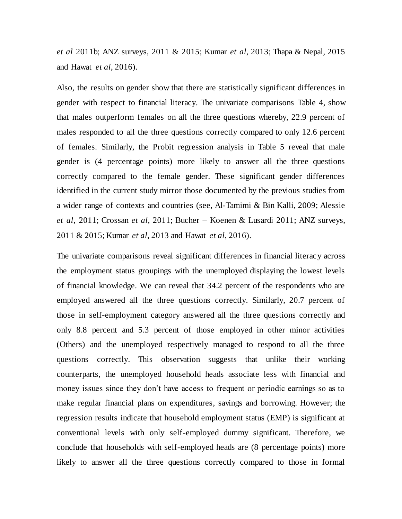*et al* 2011b; ANZ surveys, 2011 & 2015; Kumar *et al*, 2013; Thapa & Nepal, 2015 and Hawat *et al*, 2016).

Also, the results on gender show that there are statistically significant differences in gender with respect to financial literacy. The univariate comparisons Table 4, show that males outperform females on all the three questions whereby, 22.9 percent of males responded to all the three questions correctly compared to only 12.6 percent of females. Similarly, the Probit regression analysis in Table 5 reveal that male gender is (4 percentage points) more likely to answer all the three questions correctly compared to the female gender. These significant gender differences identified in the current study mirror those documented by the previous studies from a wider range of contexts and countries (see, Al-Tamimi & Bin Kalli, 2009; Alessie *et al*, 2011; Crossan *et al*, 2011; Bucher – Koenen & Lusardi 2011; ANZ surveys, 2011 & 2015; Kumar *et al*, 2013 and Hawat *et al*, 2016).

The univariate comparisons reveal significant differences in financial literacy across the employment status groupings with the unemployed displaying the lowest levels of financial knowledge. We can reveal that 34.2 percent of the respondents who are employed answered all the three questions correctly. Similarly, 20.7 percent of those in self-employment category answered all the three questions correctly and only 8.8 percent and 5.3 percent of those employed in other minor activities (Others) and the unemployed respectively managed to respond to all the three questions correctly. This observation suggests that unlike their working counterparts, the unemployed household heads associate less with financial and money issues since they don't have access to frequent or periodic earnings so as to make regular financial plans on expenditures, savings and borrowing. However; the regression results indicate that household employment status (EMP) is significant at conventional levels with only self-employed dummy significant. Therefore, we conclude that households with self-employed heads are (8 percentage points) more likely to answer all the three questions correctly compared to those in formal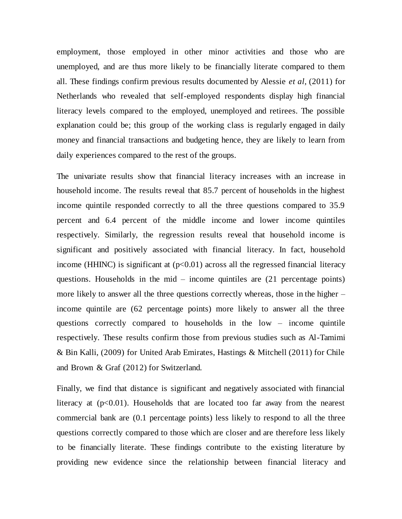employment, those employed in other minor activities and those who are unemployed, and are thus more likely to be financially literate compared to them all. These findings confirm previous results documented by Alessie *et al*, (2011) for Netherlands who revealed that self-employed respondents display high financial literacy levels compared to the employed, unemployed and retirees. The possible explanation could be; this group of the working class is regularly engaged in daily money and financial transactions and budgeting hence, they are likely to learn from daily experiences compared to the rest of the groups.

The univariate results show that financial literacy increases with an increase in household income. The results reveal that 85.7 percent of households in the highest income quintile responded correctly to all the three questions compared to 35.9 percent and 6.4 percent of the middle income and lower income quintiles respectively. Similarly, the regression results reveal that household income is significant and positively associated with financial literacy. In fact, household income (HHINC) is significant at  $(p<0.01)$  across all the regressed financial literacy questions. Households in the mid – income quintiles are (21 percentage points) more likely to answer all the three questions correctly whereas, those in the higher – income quintile are (62 percentage points) more likely to answer all the three questions correctly compared to households in the low – income quintile respectively. These results confirm those from previous studies such as Al-Tamimi & Bin Kalli, (2009) for United Arab Emirates, Hastings & Mitchell (2011) for Chile and Brown & Graf (2012) for Switzerland.

Finally, we find that distance is significant and negatively associated with financial literacy at  $(p<0.01)$ . Households that are located too far away from the nearest commercial bank are (0.1 percentage points) less likely to respond to all the three questions correctly compared to those which are closer and are therefore less likely to be financially literate. These findings contribute to the existing literature by providing new evidence since the relationship between financial literacy and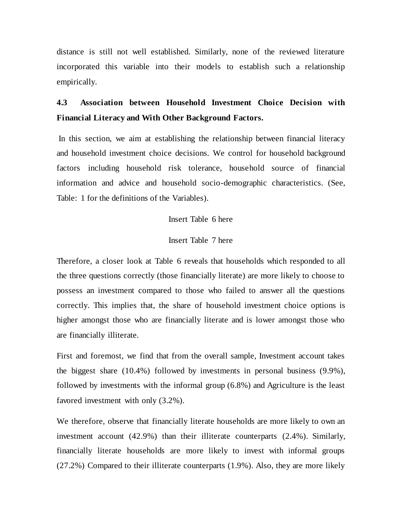distance is still not well established. Similarly, none of the reviewed literature incorporated this variable into their models to establish such a relationship empirically.

# **4.3 Association between Household Investment Choice Decision with Financial Literacy and With Other Background Factors.**

In this section, we aim at establishing the relationship between financial literacy and household investment choice decisions. We control for household background factors including household risk tolerance, household source of financial information and advice and household socio-demographic characteristics. (See, Table: 1 for the definitions of the Variables).

#### Insert Table 6 here

#### Insert Table 7 here

Therefore, a closer look at Table 6 reveals that households which responded to all the three questions correctly (those financially literate) are more likely to choose to possess an investment compared to those who failed to answer all the questions correctly. This implies that, the share of household investment choice options is higher amongst those who are financially literate and is lower amongst those who are financially illiterate.

First and foremost, we find that from the overall sample, Investment account takes the biggest share (10.4%) followed by investments in personal business (9.9%), followed by investments with the informal group (6.8%) and Agriculture is the least favored investment with only (3.2%).

We therefore, observe that financially literate households are more likely to own an investment account (42.9%) than their illiterate counterparts (2.4%). Similarly, financially literate households are more likely to invest with informal groups (27.2%) Compared to their illiterate counterparts (1.9%). Also, they are more likely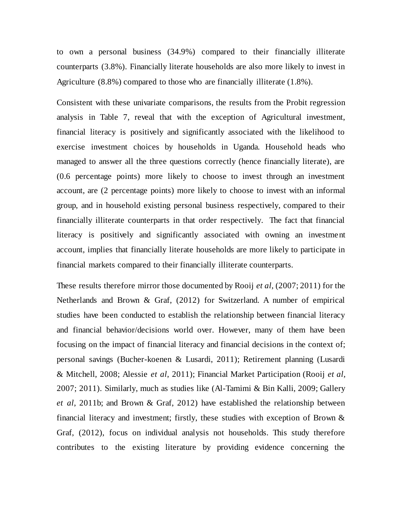to own a personal business (34.9%) compared to their financially illiterate counterparts (3.8%). Financially literate households are also more likely to invest in Agriculture (8.8%) compared to those who are financially illiterate (1.8%).

Consistent with these univariate comparisons, the results from the Probit regression analysis in Table 7, reveal that with the exception of Agricultural investment, financial literacy is positively and significantly associated with the likelihood to exercise investment choices by households in Uganda. Household heads who managed to answer all the three questions correctly (hence financially literate), are (0.6 percentage points) more likely to choose to invest through an investment account, are (2 percentage points) more likely to choose to invest with an informal group, and in household existing personal business respectively, compared to their financially illiterate counterparts in that order respectively. The fact that financial literacy is positively and significantly associated with owning an investment account, implies that financially literate households are more likely to participate in financial markets compared to their financially illiterate counterparts.

These results therefore mirror those documented by Rooij *et al*, (2007; 2011) for the Netherlands and Brown & Graf, (2012) for Switzerland. A number of empirical studies have been conducted to establish the relationship between financial literacy and financial behavior/decisions world over. However, many of them have been focusing on the impact of financial literacy and financial decisions in the context of; personal savings (Bucher-koenen & Lusardi, 2011); Retirement planning (Lusardi & Mitchell, 2008; Alessie *et al*, 2011); Financial Market Participation (Rooij *et al*, 2007; 2011). Similarly, much as studies like (Al-Tamimi & Bin Kalli, 2009; Gallery *et al*, 2011b; and Brown & Graf, 2012) have established the relationship between financial literacy and investment; firstly, these studies with exception of Brown & Graf, (2012), focus on individual analysis not households. This study therefore contributes to the existing literature by providing evidence concerning the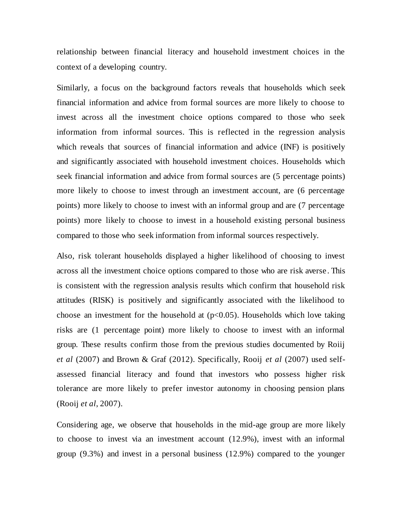relationship between financial literacy and household investment choices in the context of a developing country.

Similarly, a focus on the background factors reveals that households which seek financial information and advice from formal sources are more likely to choose to invest across all the investment choice options compared to those who seek information from informal sources. This is reflected in the regression analysis which reveals that sources of financial information and advice (INF) is positively and significantly associated with household investment choices. Households which seek financial information and advice from formal sources are (5 percentage points) more likely to choose to invest through an investment account, are (6 percentage points) more likely to choose to invest with an informal group and are (7 percentage points) more likely to choose to invest in a household existing personal business compared to those who seek information from informal sources respectively.

Also, risk tolerant households displayed a higher likelihood of choosing to invest across all the investment choice options compared to those who are risk averse . This is consistent with the regression analysis results which confirm that household risk attitudes (RISK) is positively and significantly associated with the likelihood to choose an investment for the household at  $(p<0.05)$ . Households which love taking risks are (1 percentage point) more likely to choose to invest with an informal group. These results confirm those from the previous studies documented by Roiij *et al* (2007) and Brown & Graf (2012). Specifically, Rooij *et al* (2007) used selfassessed financial literacy and found that investors who possess higher risk tolerance are more likely to prefer investor autonomy in choosing pension plans (Rooij *et al*, 2007).

Considering age, we observe that households in the mid-age group are more likely to choose to invest via an investment account (12.9%), invest with an informal group (9.3%) and invest in a personal business (12.9%) compared to the younger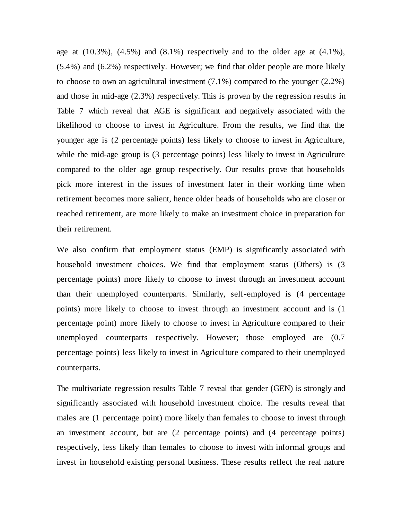age at  $(10.3\%)$ ,  $(4.5\%)$  and  $(8.1\%)$  respectively and to the older age at  $(4.1\%)$ , (5.4%) and (6.2%) respectively. However; we find that older people are more likely to choose to own an agricultural investment (7.1%) compared to the younger (2.2%) and those in mid-age (2.3%) respectively. This is proven by the regression results in Table 7 which reveal that AGE is significant and negatively associated with the likelihood to choose to invest in Agriculture. From the results, we find that the younger age is (2 percentage points) less likely to choose to invest in Agriculture, while the mid-age group is (3 percentage points) less likely to invest in Agriculture compared to the older age group respectively. Our results prove that households pick more interest in the issues of investment later in their working time when retirement becomes more salient, hence older heads of households who are closer or reached retirement, are more likely to make an investment choice in preparation for their retirement.

We also confirm that employment status (EMP) is significantly associated with household investment choices. We find that employment status (Others) is (3 percentage points) more likely to choose to invest through an investment account than their unemployed counterparts. Similarly, self-employed is (4 percentage points) more likely to choose to invest through an investment account and is (1 percentage point) more likely to choose to invest in Agriculture compared to their unemployed counterparts respectively. However; those employed are (0.7 percentage points) less likely to invest in Agriculture compared to their unemployed counterparts.

The multivariate regression results Table 7 reveal that gender (GEN) is strongly and significantly associated with household investment choice. The results reveal that males are (1 percentage point) more likely than females to choose to invest through an investment account, but are (2 percentage points) and (4 percentage points) respectively, less likely than females to choose to invest with informal groups and invest in household existing personal business. These results reflect the real nature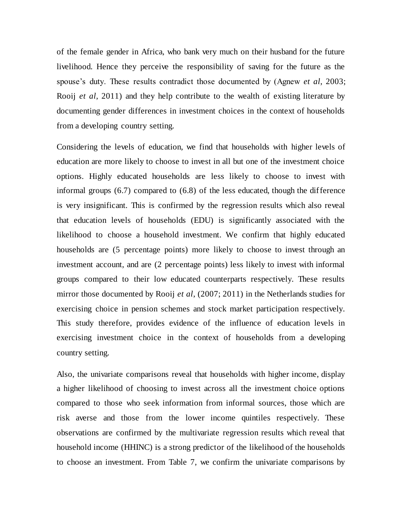of the female gender in Africa, who bank very much on their husband for the future livelihood. Hence they perceive the responsibility of saving for the future as the spouse"s duty. These results contradict those documented by (Agnew *et al*, 2003; Rooij *et al*, 2011) and they help contribute to the wealth of existing literature by documenting gender differences in investment choices in the context of households from a developing country setting.

Considering the levels of education, we find that households with higher levels of education are more likely to choose to invest in all but one of the investment choice options. Highly educated households are less likely to choose to invest with informal groups (6.7) compared to (6.8) of the less educated, though the difference is very insignificant. This is confirmed by the regression results which also reveal that education levels of households (EDU) is significantly associated with the likelihood to choose a household investment. We confirm that highly educated households are (5 percentage points) more likely to choose to invest through an investment account, and are (2 percentage points) less likely to invest with informal groups compared to their low educated counterparts respectively. These results mirror those documented by Rooij *et al*, (2007; 2011) in the Netherlands studies for exercising choice in pension schemes and stock market participation respectively. This study therefore, provides evidence of the influence of education levels in exercising investment choice in the context of households from a developing country setting.

Also, the univariate comparisons reveal that households with higher income, display a higher likelihood of choosing to invest across all the investment choice options compared to those who seek information from informal sources, those which are risk averse and those from the lower income quintiles respectively. These observations are confirmed by the multivariate regression results which reveal that household income (HHINC) is a strong predictor of the likelihood of the households to choose an investment. From Table 7, we confirm the univariate comparisons by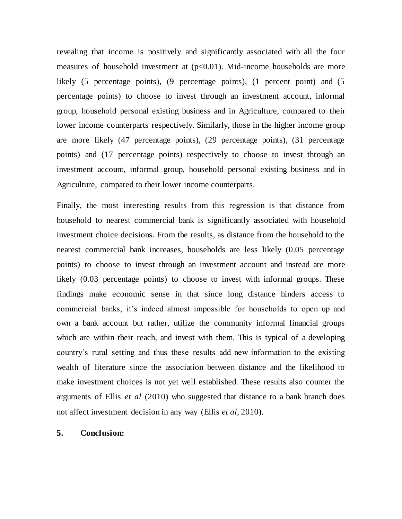revealing that income is positively and significantly associated with all the four measures of household investment at  $(p<0.01)$ . Mid-income households are more likely (5 percentage points), (9 percentage points), (1 percent point) and (5 percentage points) to choose to invest through an investment account, informal group, household personal existing business and in Agriculture, compared to their lower income counterparts respectively. Similarly, those in the higher income group are more likely (47 percentage points), (29 percentage points), (31 percentage points) and (17 percentage points) respectively to choose to invest through an investment account, informal group, household personal existing business and in Agriculture, compared to their lower income counterparts.

Finally, the most interesting results from this regression is that distance from household to nearest commercial bank is significantly associated with household investment choice decisions. From the results, as distance from the household to the nearest commercial bank increases, households are less likely (0.05 percentage points) to choose to invest through an investment account and instead are more likely  $(0.03$  percentage points) to choose to invest with informal groups. These findings make economic sense in that since long distance hinders access to commercial banks, it's indeed almost impossible for households to open up and own a bank account but rather, utilize the community informal financial groups which are within their reach, and invest with them. This is typical of a developing country"s rural setting and thus these results add new information to the existing wealth of literature since the association between distance and the likelihood to make investment choices is not yet well established. These results also counter the arguments of Ellis *et al* (2010) who suggested that distance to a bank branch does not affect investment decision in any way (Ellis *et al*, 2010).

#### **5. Conclusion:**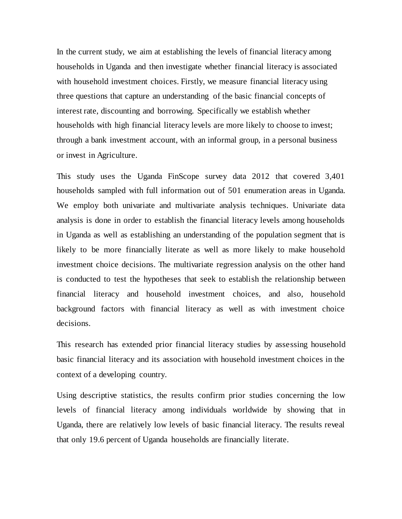In the current study, we aim at establishing the levels of financial literacy among households in Uganda and then investigate whether financial literacy is associated with household investment choices. Firstly, we measure financial literacy using three questions that capture an understanding of the basic financial concepts of interest rate, discounting and borrowing. Specifically we establish whether households with high financial literacy levels are more likely to choose to invest; through a bank investment account, with an informal group, in a personal business or invest in Agriculture.

This study uses the Uganda FinScope survey data 2012 that covered 3,401 households sampled with full information out of 501 enumeration areas in Uganda. We employ both univariate and multivariate analysis techniques. Univariate data analysis is done in order to establish the financial literacy levels among households in Uganda as well as establishing an understanding of the population segment that is likely to be more financially literate as well as more likely to make household investment choice decisions. The multivariate regression analysis on the other hand is conducted to test the hypotheses that seek to establish the relationship between financial literacy and household investment choices, and also, household background factors with financial literacy as well as with investment choice decisions.

This research has extended prior financial literacy studies by assessing household basic financial literacy and its association with household investment choices in the context of a developing country.

Using descriptive statistics, the results confirm prior studies concerning the low levels of financial literacy among individuals worldwide by showing that in Uganda, there are relatively low levels of basic financial literacy. The results reveal that only 19.6 percent of Uganda households are financially literate.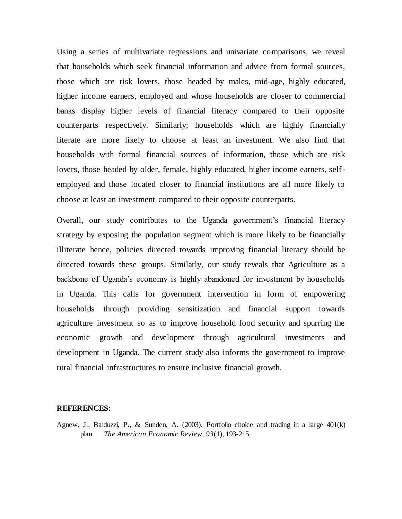Using a series of multivariate regressions and univariate comparisons, we reveal that households which seek financial information and advice from formal sources, those which are risk lovers, those headed by males, mid-age, highly educated, higher income earners, employed and whose households are closer to commercial banks display higher levels of financial literacy compared to their opposite counterparts respectively. Similarly; households which are highly financially literate are more likely to choose at least an investment. We also find that households with formal financial sources of information, those which are risk lovers, those headed by older, female, highly educated, higher income earners, selfemployed and those located closer to financial institutions are all more likely to choose at least an investment compared to their opposite counterparts.

Overall, our study contributes to the Uganda government"s financial literacy strategy by exposing the population segment which is more likely to be financially illiterate hence, policies directed towards improving financial literacy should be directed towards these groups. Similarly, our study reveals that Agriculture as a backbone of Uganda"s economy is highly abandoned for investment by households in Uganda. This calls for government intervention in form of empowering households through providing sensitization and financial support towards agriculture investment so as to improve household food security and spurring the economic growth and development through agricultural investments and development in Uganda. The current study also informs the government to improve rural financial infrastructures to ensure inclusive financial growth.

#### **REFERENCES:**

Agnew, J., Balduzzi, P., & Sunden, A. (2003). Portfolio choice and trading in a large 401(k) plan. *The American Economic Review, 93*(1), 193-215.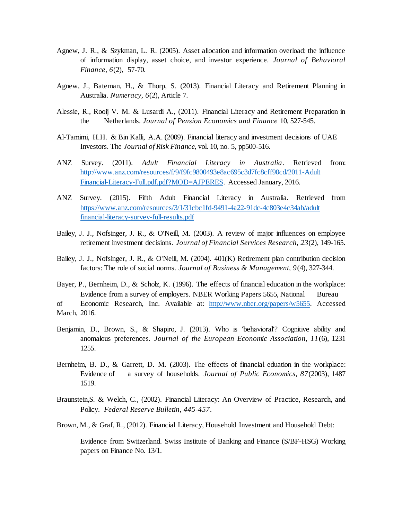- Agnew, J. R., & Szykman, L. R. (2005). Asset allocation and information overload: the influence of information display, asset choice, and investor experience. *Journal of Behavioral Finance, 6*(2), 57-70.
- Agnew, J., Bateman, H., & Thorp, S. (2013). Financial Literacy and Retirement Planning in Australia. *Numeracy, 6*(2), Article 7.
- Alessie, R., Rooij V. M. & Lusardi A., (2011). Financial Literacy and Retirement Preparation in the Netherlands. *Journal of Pension Economics and Finance* 10, 527-545.
- Al-Tamimi, H.H. & Bin Kalli, A.A. (2009). Financial literacy and investment decisions of UAE Investors. The *Journal of Risk Finance,* vol. 10, no. 5, pp500-516.
- ANZ Survey. (2011). *Adult Financial Literacy in Australia*. Retrieved from: [http://www.anz.com/resources/f/9/f9fc9800493e8ac695c3d7fc8cff90cd/2011-Adult](http://www.anz.com/resources/f/9/f9fc9800493e8ac695c3d7fc8cff90cd/2011-Adult%09Financial-Literacy-Full.pdf.pdf?MOD=AJPERES) [Financial-Literacy-Full.pdf.pdf?MOD=AJPERES.](http://www.anz.com/resources/f/9/f9fc9800493e8ac695c3d7fc8cff90cd/2011-Adult%09Financial-Literacy-Full.pdf.pdf?MOD=AJPERES) Accessed January, 2016.
- ANZ Survey. (2015). Fifth Adult Financial Literacy in Australia. Retrieved from [https://www.anz.com/resources/3/1/31cbc1fd-9491-4a22-91dc-4c803e4c34ab/adult](https://www.anz.com/resources/3/1/31cbc1fd-9491-4a22-91dc-4c803e4c34ab/adult-financial-literacy-survey-full-results.pdf) [financial-literacy-survey-full-results.pdf](https://www.anz.com/resources/3/1/31cbc1fd-9491-4a22-91dc-4c803e4c34ab/adult-financial-literacy-survey-full-results.pdf)
- Bailey, J. J., Nofsinger, J. R., & O'Neill, M. (2003). A review of major influences on employee retirement investment decisions. *Journal of Financial Services Research, 23*(2), 149-165.
- Bailey, J. J., Nofsinger, J. R., & O'Neill, M. (2004). 401(K) Retirement plan contribution decision factors: The role of social norms. *Journal of Business & Management, 9*(4), 327-344.
- Bayer, P., Bernheim, D., & Scholz, K. (1996). The effects of financial education in the workplace: Evidence from a survey of employers. NBER Working Papers 5655, National Bureau of Economic Research, Inc. Available at: [http://www.nber.org/papers/w5655.](http://www.nber.org/papers/w5655) Accessed March, 2016.
- Benjamin, D., Brown, S., & Shapiro, J. (2013). Who is 'behavioral'? Cognitive ability and anomalous preferences. *Journal of the European Economic Association, 11*(6), 1231 1255.
- Bernheim, B. D., & Garrett, D. M. (2003). The effects of financial eduation in the workplace: Evidence of a survey of households. *Journal of Public Economics, 87*(2003), 1487 1519.
- Braunstein,S. & Welch, C., (2002). Financial Literacy: An Overview of Practice, Research, and Policy. *Federal Reserve Bulletin, 445-457*.
- Brown, M., & Graf, R., (2012). Financial Literacy, Household Investment and Household Debt:

Evidence from Switzerland. Swiss Institute of Banking and Finance (S/BF-HSG) Working papers on Finance No. 13/1.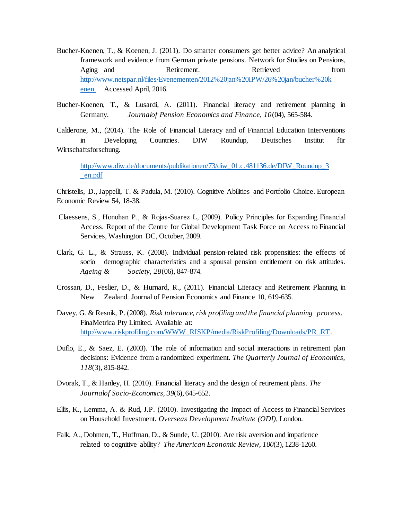- Bucher-Koenen, T., & Koenen, J. (2011). Do smarter consumers get better advice? An analytical framework and evidence from German private pensions. Network for Studies on Pensions, Aging and **Retirement.** Retrieved **Retrieved** from [http://www.netspar.nl/files/Evenementen/2012%20jan%20IPW/26%20jan/bucher%20k](http://www.netspar.nl/files/Evenementen/2012%20jan%20IPW/26%20jan/bucher%20k%09enen.) [enen.](http://www.netspar.nl/files/Evenementen/2012%20jan%20IPW/26%20jan/bucher%20k%09enen.) Accessed April, 2016.
- Bucher-Koenen, T., & Lusardi, A. (2011). Financial literacy and retirement planning in Germany. *Journalof Pension Economics and Finance, 10*(04), 565-584.

Calderone, M., (2014). The Role of Financial Literacy and of Financial Education Interventions in Developing Countries. DIW Roundup, Deutsches Institut für Wirtschaftsforschung.

[http://www.diw.de/documents/publikationen/73/diw\\_01.c.481136.de/DIW\\_Roundup\\_3](http://www.diw.de/documents/publikationen/73/diw_01.c.481136.de/DIW_Roundup_34_en.pdf) [\\_en.pdf](http://www.diw.de/documents/publikationen/73/diw_01.c.481136.de/DIW_Roundup_34_en.pdf)

Christelis, D., Jappelli, T. & Padula, M. (2010). Cognitive Abilities and Portfolio Choice. European Economic Review 54, 18-38.

- Claessens, S., Honohan P., & Rojas-Suarez L, (2009). Policy Principles for Expanding Financial Access. Report of the Centre for Global Development Task Force on Access to Financial Services, Washington DC, October, 2009.
- Clark, G. L., & Strauss, K. (2008). Individual pension-related risk propensities: the effects of socio demographic characteristics and a spousal pension entitlement on risk attitudes. *Ageing & Society, 28*(06), 847-874.
- Crossan, D., Feslier, D., & Hurnard, R., (2011). Financial Literacy and Retirement Planning in New Zealand. Journal of Pension Economics and Finance 10, 619-635.
- Davey, G. & Resnik, P. (2008). *Risk tolerance, risk profiling and the financial planning process*. FinaMetrica Pty Limited. Available at: [http://www.riskprofiling.com/WWW\\_RISKP/media/RiskProfiling/Downloads/PR\\_RT.](http://www.riskprofiling.com/WWW_RISKP/media/RiskProfiling/Downloads/PR_RT)
- Duflo, E., & Saez, E. (2003). The role of information and social interactions in retirement plan decisions: Evidence from a randomized experiment. *The Quarterly Journal of Economics, 118*(3), 815-842.
- Dvorak, T., & Hanley, H. (2010). Financial literacy and the design of retirement plans. *The Journalof Socio-Economics, 39*(6), 645-652.
- Ellis, K., Lemma, A. & Rud, J.P. (2010). Investigating the Impact of Access to Financial Services on Household Investment. *Overseas Development Institute (ODI)*, London.
- Falk, A., Dohmen, T., Huffman, D., & Sunde, U. (2010). Are risk aversion and impatience related to cognitive ability? *The American Economic Review, 100*(3), 1238-1260.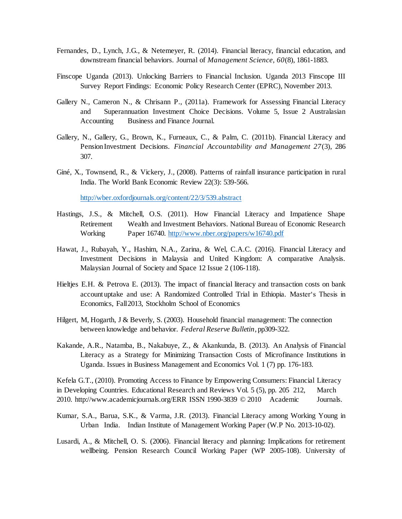- Fernandes, D., Lynch, J.G., & Netemeyer, R. (2014). Financial literacy, financial education, and downstream financial behaviors. Journal of *Management Science, 60*(8), 1861-1883.
- Finscope Uganda (2013). Unlocking Barriers to Financial Inclusion. Uganda 2013 Finscope III Survey Report Findings: Economic Policy Research Center (EPRC), November 2013.
- Gallery N., Cameron N., & Chrisann P., (2011a). Framework for Assessing Financial Literacy and Superannuation Investment Choice Decisions. Volume 5, Issue 2 Australasian Accounting Business and Finance Journal.
- Gallery, N., Gallery, G., Brown, K., Furneaux, C., & Palm, C. (2011b). Financial Literacy and PensionInvestment Decisions. *Financial Accountability and Management 27*(3), 286 307.
- Giné, X., Townsend, R., & Vickery, J., (2008). Patterns of rainfall insurance participation in rural India. The World Bank Economic Review 22(3): 539-566.

<http://wber.oxfordjournals.org/content/22/3/539.abstract>

- Hastings, J.S., & Mitchell, O.S. (2011). How Financial Literacy and Impatience Shape Retirement Wealth and Investment Behaviors. National Bureau of Economic Research Working Paper 16740.<http://www.nber.org/papers/w16740.pdf>
- Hawat, J., Rubayah, Y., Hashim, N.A., Zarina, & Wel, C.A.C. (2016). Financial Literacy and Investment Decisions in Malaysia and United Kingdom: A comparative Analysis. Malaysian Journal of Society and Space 12 Issue 2 (106-118).
- Hieltjes E.H. & Petrova E. (2013). The impact of financial literacy and transaction costs on bank account uptake and use: A Randomized Controlled Trial in Ethiopia. Master"s Thesis in Economics, Fall2013, Stockholm School of Economics
- Hilgert, M, Hogarth, J & Beverly, S. (2003). Household financial management: The connection between knowledge and behavior. *Federal Reserve Bulletin*, pp309-322.
- Kakande, A.R., Natamba, B., Nakabuye, Z., & Akankunda, B. (2013). An Analysis of Financial Literacy as a Strategy for Minimizing Transaction Costs of Microfinance Institutions in Uganda. Issues in Business Management and Economics Vol. 1 (7) pp. 176-183.

Kefela G.T., (2010). Promoting Access to Finance by Empowering Consumers: Financial Literacy in Developing Countries. Educational Research and Reviews Vol. 5 (5), pp. 205 212, March 2010. http://www.academicjournals.org/ERR ISSN 1990-3839 © 2010 Academic Journals.

- Kumar, S.A., Barua, S.K., & Varma, J.R. (2013). Financial Literacy among Working Young in Urban India. Indian Institute of Management Working Paper (W.P No. 2013-10-02).
- Lusardi, A., & Mitchell, O. S. (2006). Financial literacy and planning: Implications for retirement wellbeing. Pension Research Council Working Paper (WP 2005-108). University of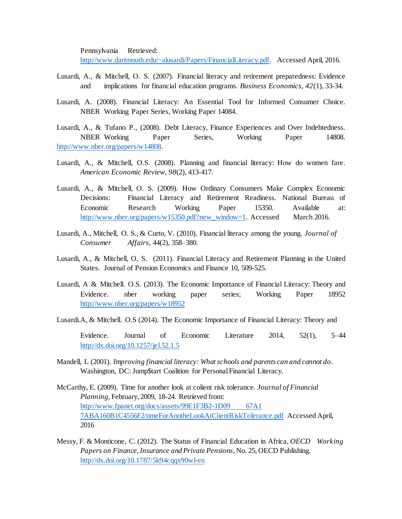Pennsylvania Retrieved: [http://www.dartmouth.edu/~alusardi/Papers/FinancialLiteracy.pdf.](http://www.dartmouth.edu/~alusardi/Papers/FinancialLiteracy.pdf) Accessed April, 2016.

- Lusardi, A., & Mitchell, O. S. (2007). Financial literacy and retirement preparedness: Evidence and implications for financial education programs. *Business Economics, 42*(1), 33-34.
- Lusardi, A. (2008). Financial Literacy: An Essential Tool for Informed Consumer Choice. NBER Working Paper Series, Working Paper 14084.
- Lusardi, A., & Tufano P., (2008). Debt Literacy, Finance Experiences and Over Indebtedness. NBER Working Paper Series, Working Paper 14808. [http://www.nber.org/papers/w14808.](http://www.nber.org/papers/w14808)
- Lusardi, A., & Mitchell, O.S. (2008). Planning and financial literacy: How do women fare. *American Economic Review*, *98*(2), 413-417.
- Lusardi, A., & Mitchell, O. S. (2009). How Ordinary Consumers Make Complex Economic Decisions: Financial Literacy and Retirement Readiness. National Bureau of Economic Research Working Paper 15350. Available at: [http://www.nber.org/papers/w15350.pdf?new\\_window=1.](http://www.nber.org/papers/w15350.pdf?new_window=1) Accessed March 2016.
- Lusardi, A., Mitchell, O. S., & Curto, V. (2010). Financial literacy among the young. *Journal of Consumer Affairs,* 44(2), 358–380.
- Lusardi, A., & Mitchell, O. S. (2011). Financial Literacy and Retirement Planning in the United States. Journal of Pension Economics and Finance 10, 509-525.
- Lusardi, A & Mitchell. O.S. (2013). The Economic Importance of Financial Literacy: Theory and Evidence. nber working paper series; Working Paper 18952 <http://www.nber.org/papers/w18952>
- Lusardi.A, & Mitchell. O.S (2014). The Economic Importance of Financial Literacy: Theory and

Evidence. Journal of Economic Literature 2014, 52(1), 5–44 <http://dx.doi.org/10.1257/jel.52.1.5>

- Mandell, L (2001). *Improving financial literacy: What schools and parents can and cannot do*. Washington, DC: Jump\$tart Coalition for Personal Financial Literacy.
- McCarthy, E. (2009). Time for another look at colient risk tolerance. *Journal of Financial Planning,* February, 2009, 18-24. Retrieved from: [http://www.fpanet.org/docs/assets/99E1F3B2-1D09](http://www.fpanet.org/docs/assets/99E1F3B2-1D09%0967A1%097ABA160B1C4556F2/timeForAnotheLookAtClientRiskTolerance.pdf) 67A1 [7ABA160B1C4556F2/timeForAnotheLookAtClientRiskTolerance.pdf](http://www.fpanet.org/docs/assets/99E1F3B2-1D09%0967A1%097ABA160B1C4556F2/timeForAnotheLookAtClientRiskTolerance.pdf) Accessed April, 2016
- Messy, F. & Monticone, C. (2012). The Status of Financial Education in Africa, *OECD Working Papers on Finance, Insurance and Private Pensions*, No. 25, OECD Publishing. <http://dx.doi.org/10.1787/5k94cqqx90wl-en>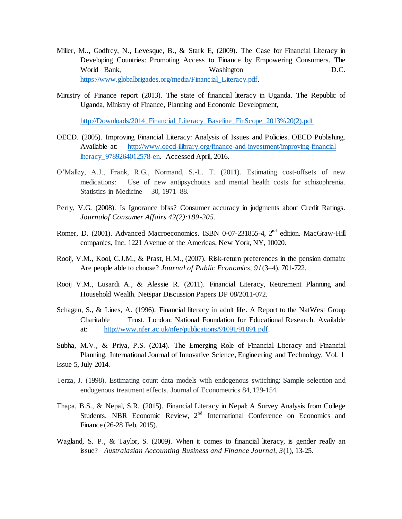- Miller, M.., Godfrey, N., Levesque, B., & Stark E, (2009). The Case for Financial Literacy in Developing Countries: Promoting Access to Finance by Empowering Consumers. The World Bank, Washington D.C. [https://www.globalbrigades.org/media/Financial\\_Literacy.pdf.](https://www.globalbrigades.org/media/Financial_Literacy.pdf)
- Ministry of Finance report (2013). The state of financial literacy in Uganda. The Republic of Uganda, Ministry of Finance, Planning and Economic Development,

http://Downloads/2014 Financial Literacy Baseline FinScope 2013%20(2).pdf

- OECD. (2005). Improving Financial Literacy: Analysis of Issues and Policies. OECD Publishing. Available at: [http://www.oecd-ilibrary.org/finance-and-investment/improving-financial](http://www.oecd-ilibrary.org/finance-and-investment/improving-financial%09literacy_9789264012578-en) [literacy\\_9789264012578-en.](http://www.oecd-ilibrary.org/finance-and-investment/improving-financial%09literacy_9789264012578-en) Accessed April, 2016.
- O"Malley, A.J., Frank, R.G., Normand, S.-L. T. (2011). Estimating cost-offsets of new medications: Use of new antipsychotics and mental health costs for schizophrenia. Statistics in Medicine 30, 1971–88.
- Perry, V.G. (2008). Is Ignorance bliss? Consumer accuracy in judgments about Credit Ratings. *Journalof Consumer Affairs 42(2):189-205*.
- Romer, D. (2001). Advanced Macroeconomics. ISBN 0-07-231855-4, 2<sup>nd</sup> edition. MacGraw-Hill companies, Inc. 1221 Avenue of the Americas, New York, NY, 10020.
- Rooij, V.M., Kool, C.J.M., & Prast, H.M., (2007). Risk-return preferences in the pension domain: Are people able to choose? *Journal of Public Economics, 91*(3–4), 701-722.
- Rooij V.M., Lusardi A., & Alessie R. (2011). Financial Literacy, Retirement Planning and Household Wealth. Netspar Discussion Papers DP 08/2011-072.
- Schagen, S., & Lines, A. (1996). Financial literacy in adult life. A Report to the NatWest Group Charitable Trust. London: National Foundation for Educational Research. Available at: [http://www.nfer.ac.uk/nfer/publications/91091/91091.pdf.](http://www.nfer.ac.uk/nfer/publications/91091/91091.pdf)
- Subha, M.V., & Priya, P.S. (2014). The Emerging Role of Financial Literacy and Financial Planning. International Journal of Innovative Science, Engineering and Technology, Vol. 1 Issue 5, July 2014.
- Terza, J. (1998). Estimating count data models with endogenous switching: Sample selection and endogenous treatment effects. Journal of Econometrics 84, 129-154.
- Thapa, B.S., & Nepal, S.R. (2015). Financial Literacy in Nepal: A Survey Analysis from College Students. NBR Economic Review, 2<sup>nd</sup> International Conference on Economics and Finance (26-28 Feb, 2015).
- Wagland, S. P., & Taylor, S. (2009). When it comes to financial literacy, is gender really an issue? *Australasian Accounting Business and Finance Journal, 3*(1), 13-25.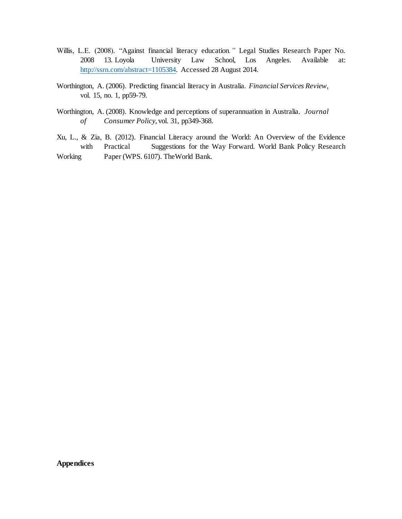- Willis, L.E. (2008). "Against financial literacy education*."* Legal Studies Research Paper No. 2008 13. Loyola University Law School, Los Angeles. Available at: [http://ssrn.com/abstract=1105384.](http://ssrn.com/abstract=1105384) Accessed 28 August 2014.
- Worthington, A. (2006). Predicting financial literacy in Australia. *Financial Services Review*, vol. 15, no. 1, pp59-79.
- Worthington, A. (2008). Knowledge and perceptions of superannuation in Australia. *Journal of Consumer Policy*, vol. 31, pp349-368.
- Xu, L., & Zia, B. (2012). Financial Literacy around the World: An Overview of the Evidence with Practical Suggestions for the Way Forward. World Bank Policy Research Working Paper (WPS. 6107). TheWorld Bank.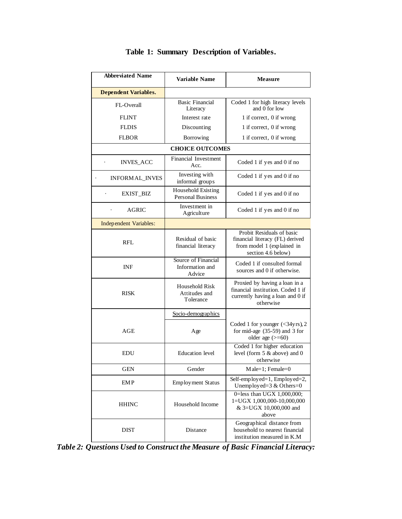| <b>Abbreviated Name</b>     | Variable Name                                    | <b>Measure</b>                                                                                                      |  |  |
|-----------------------------|--------------------------------------------------|---------------------------------------------------------------------------------------------------------------------|--|--|
| <b>Dependent Variables.</b> |                                                  |                                                                                                                     |  |  |
| FL-Overall                  | <b>Basic Financial</b><br>Literacy               | Coded 1 for high literacy levels<br>and 0 for low                                                                   |  |  |
| <b>FLINT</b>                | Interest rate                                    | 1 if correct, 0 if wrong                                                                                            |  |  |
| <b>FLDIS</b>                | Discounting                                      | 1 if correct, 0 if wrong                                                                                            |  |  |
| <b>FLBOR</b>                | Borrowing                                        | 1 if correct, 0 if wrong                                                                                            |  |  |
|                             | <b>CHOICE OUTCOMES</b>                           |                                                                                                                     |  |  |
| <b>INVES_ACC</b>            | Financial Investment<br>Acc.                     | Coded 1 if yes and 0 if no                                                                                          |  |  |
| <b>INFORMAL INVES</b>       | Investing with<br>informal groups                | Coded 1 if yes and 0 if no                                                                                          |  |  |
| EXIST_BIZ                   | Household Existing<br><b>Personal Business</b>   | Coded 1 if yes and 0 if no                                                                                          |  |  |
| AGRIC                       | Investment in<br>Agriculture                     | Coded 1 if yes and 0 if no                                                                                          |  |  |
| Independent Variables:      |                                                  |                                                                                                                     |  |  |
| RFL                         | Residual of basic<br>financial literacy          | Probit Residuals of basic<br>financial literacy (FL) derived<br>from model 1 (explained in<br>section 4.6 below)    |  |  |
| <b>INF</b>                  | Source of Financial<br>Information and<br>Advice | Coded 1 if consulted formal<br>sources and 0 if otherwise.                                                          |  |  |
| <b>RISK</b>                 | Household Risk<br>Attitudes and<br>Tolerance     | Proxied by having a loan in a<br>financial institution. Coded 1 if<br>currently having a loan and 0 if<br>otherwise |  |  |
|                             | Socio-demographics                               |                                                                                                                     |  |  |
| AGE                         | Age                                              | Coded 1 for younger (<34yrs), 2<br>for mid-age $(35-59)$ and 3 for<br>older age $(>=60)$                            |  |  |
| EDU                         | <b>Education</b> level                           | Coded 1 for higher education<br>level (form 5 & above) and 0<br>otherwise                                           |  |  |
| GEN                         | Gender                                           | Male=1; Female=0                                                                                                    |  |  |
| <b>EMP</b>                  | <b>Employment Status</b>                         | Self-employed=1, $Employ$ ed=2,<br>Unemployed= $3 &$ Others= $0$                                                    |  |  |
| <b>HHINC</b>                | Household Income                                 | 0=less than UGX 1,000,000;<br>1=UGX 1,000,000-10,000,000<br>& 3=UGX 10,000,000 and<br>above                         |  |  |
| DIST                        | Distance                                         | Geographical distance from<br>household to nearest financial<br>institution measured in K.M                         |  |  |

## **Table 1: Summary Description of Variables.**

*Table 2: Questions Used to Construct the Measure of Basic Financial Literacy:*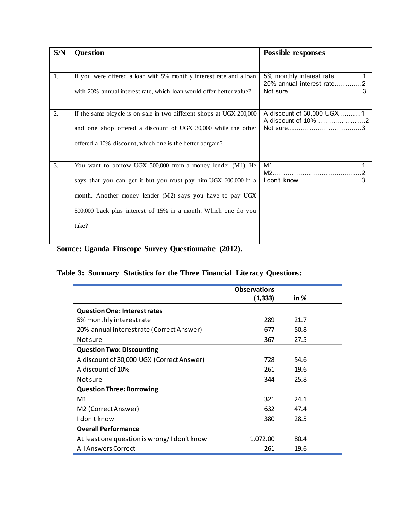| S/N | <b>Question</b>                                                      | <b>Possible responses</b>                       |
|-----|----------------------------------------------------------------------|-------------------------------------------------|
|     |                                                                      |                                                 |
| 1.  | If you were offered a loan with 5% monthly interest rate and a loan  | 5% monthly interest rate1                       |
|     | with 20% annual interest rate, which loan would offer better value?  | 20% annual interest rate2                       |
|     |                                                                      |                                                 |
| 2.  | If the same bicycle is on sale in two different shops at UGX 200,000 | A discount of 30,000 UGX1<br>A discount of 10%2 |
|     | and one shop offered a discount of UGX 30,000 while the other        |                                                 |
|     | offered a 10% discount, which one is the better bargain?             |                                                 |
| 3.  | You want to borrow UGX 500,000 from a money lender (M1). He          |                                                 |
|     |                                                                      |                                                 |
|     | says that you can get it but you must pay him UGX 600,000 in a       | I don't know3                                   |
|     | month. Another money lender (M2) says you have to pay UGX            |                                                 |
|     | 500,000 back plus interest of 15% in a month. Which one do you       |                                                 |
|     | take?                                                                |                                                 |
|     |                                                                      |                                                 |

**Source: Uganda Finscope Survey Questionnaire (2012).**

## **Table 3: Summary Statistics for the Three Financial Literacy Questions:**

| <b>Observations</b> |      |  |
|---------------------|------|--|
| (1, 333)            | in % |  |
|                     |      |  |
| 289                 | 21.7 |  |
| 677                 | 50.8 |  |
| 367                 | 27.5 |  |
|                     |      |  |
| 728                 | 54.6 |  |
| 261                 | 19.6 |  |
| 344                 | 25.8 |  |
|                     |      |  |
| 321                 | 24.1 |  |
| 632                 | 47.4 |  |
| 380                 | 28.5 |  |
|                     |      |  |
| 1,072.00            | 80.4 |  |
| 261                 | 19.6 |  |
|                     |      |  |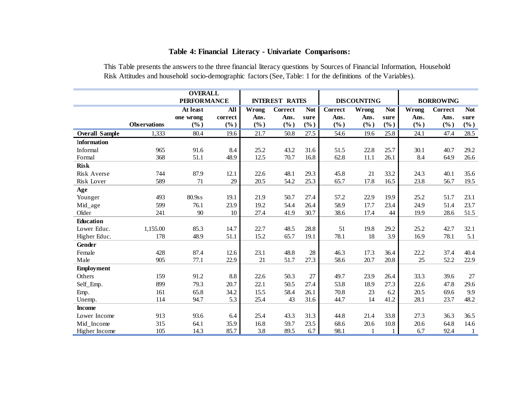## **Table 4: Financial Literacy - Univariate Comparisons:**

This Table presents the answers to the three financial literacy questions by Sources of Financial Information, Household Risk Attitudes and household socio-demographic factors (See, Table: 1 for the definitions of the Variables).

|                       |                     | <b>OVERALL</b>     |            |        |                       |            |                |                    |            |       |                  |                   |
|-----------------------|---------------------|--------------------|------------|--------|-----------------------|------------|----------------|--------------------|------------|-------|------------------|-------------------|
|                       |                     | <b>PERFORMANCE</b> |            |        | <b>INTEREST RATES</b> |            |                | <b>DISCOUNTING</b> |            |       | <b>BORROWING</b> |                   |
|                       |                     | At least           | <b>All</b> | Wrong  | <b>Correct</b>        | <b>Not</b> | <b>Correct</b> | Wrong              | <b>Not</b> | Wrong | <b>Correct</b>   | <b>Not</b>        |
|                       |                     | one wrong          | correct    | Ans.   | Ans.                  | sure       | Ans.           | Ans.               | sure       | Ans.  | Ans.             | sure              |
|                       | <b>Observations</b> | (%)                | (%)        | $(\%)$ | (%)                   | (%)        | $(\%)$         | $(\%)$             | (%)        | (%)   | (%)              | $(\%)$            |
| <b>Overall Sample</b> | 1,333               | 80.4               | 19.6       | 21.7   | 50.8                  | 27.5       | 54.6           | 19.6               | 25.8       | 24.1  | 47.4             | $\overline{28.5}$ |
| <b>Information</b>    |                     |                    |            |        |                       |            |                |                    |            |       |                  |                   |
| Informal              | 965                 | 91.6               | 8.4        | 25.2   | 43.2                  | 31.6       | 51.5           | 22.8               | 25.7       | 30.1  | 40.7             | 29.2              |
| Formal                | 368                 | 51.1               | 48.9       | 12.5   | 70.7                  | 16.8       | 62.8           | 11.1               | 26.1       | 8.4   | 64.9             | 26.6              |
| <b>Risk</b>           |                     |                    |            |        |                       |            |                |                    |            |       |                  |                   |
| Risk Averse           | 744                 | 87.9               | 12.1       | 22.6   | 48.1                  | 29.3       | 45.8           | 21                 | 33.2       | 24.3  | 40.1             | 35.6              |
| Risk Lover            | 589                 | 71                 | 29         | 20.5   | 54.2                  | 25.3       | 65.7           | 17.8               | 16.5       | 23.8  | 56.7             | 19.5              |
| Age                   |                     |                    |            |        |                       |            |                |                    |            |       |                  |                   |
| Younger               | 493                 | 80.9ss             | 19.1       | 21.9   | 50.7                  | 27.4       | 57.2           | 22.9               | 19.9       | 25.2  | 51.7             | 23.1              |
| Mid_age               | 599                 | 76.1               | 23.9       | 19.2   | 54.4                  | 26.4       | 58.9           | 17.7               | 23.4       | 24.9  | 51.4             | 23.7              |
| Older                 | 241                 | 90                 | 10         | 27.4   | 41.9                  | 30.7       | 38.6           | 17.4               | 44         | 19.9  | 28.6             | 51.5              |
| <b>Education</b>      |                     |                    |            |        |                       |            |                |                    |            |       |                  |                   |
| Lower Educ.           | 1,155.00            | 85.3               | 14.7       | 22.7   | 48.5                  | 28.8       | 51             | 19.8               | 29.2       | 25.2  | 42.7             | 32.1              |
| Higher Educ.          | 178                 | 48.9               | 51.1       | 15.2   | 65.7                  | 19.1       | 78.1           | 18                 | 3.9        | 16.9  | 78.1             | 5.1               |
| Gender                |                     |                    |            |        |                       |            |                |                    |            |       |                  |                   |
| Female                | 428                 | 87.4               | 12.6       | 23.1   | 48.8                  | 28         | 46.3           | 17.3               | 36.4       | 22.2  | 37.4             | 40.4              |
| Male                  | 905                 | 77.1               | 22.9       | 21     | 51.7                  | 27.3       | 58.6           | 20.7               | 20.8       | 25    | 52.2             | 22.9              |
| <b>Employment</b>     |                     |                    |            |        |                       |            |                |                    |            |       |                  |                   |
| Others                | 159                 | 91.2               | 8.8        | 22.6   | 50.3                  | 27         | 49.7           | 23.9               | 26.4       | 33.3  | 39.6             | 27                |
| Self_Emp.             | 899                 | 79.3               | 20.7       | 22.1   | 50.5                  | 27.4       | 53.8           | 18.9               | 27.3       | 22.6  | 47.8             | 29.6              |
| Emp.                  | 161                 | 65.8               | 34.2       | 15.5   | 58.4                  | 26.1       | 70.8           | 23                 | 6.2        | 20.5  | 69.6             | 9.9               |
| Unemp.                | 114                 | 94.7               | 5.3        | 25.4   | 43                    | 31.6       | 44.7           | 14                 | 41.2       | 28.1  | 23.7             | 48.2              |
| <b>Income</b>         |                     |                    |            |        |                       |            |                |                    |            |       |                  |                   |
| Lower Income          | 913                 | 93.6               | 6.4        | 25.4   | 43.3                  | 31.3       | 44.8           | 21.4               | 33.8       | 27.3  | 36.3             | 36.5              |
| Mid_Income            | 315                 | 64.1               | 35.9       | 16.8   | 59.7                  | 23.5       | 68.6           | 20.6               | 10.8       | 20.6  | 64.8             | 14.6              |
| Higher Income         | 105                 | 14.3               | 85.7       | 3.8    | 89.5                  | 6.7        | 98.1           |                    |            | 6.7   | 92.4             | $\mathbf{1}$      |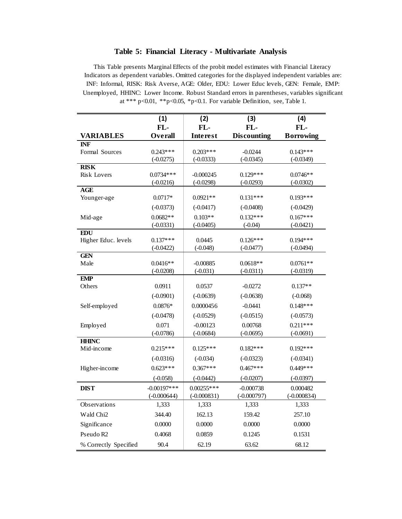#### **Table 5: Financial Literacy - Multivariate Analysis**

This Table presents Marginal Effects of the probit model estimates with Financial Literacy Indicators as dependent variables. Omitted categories for the displayed independent variables are: INF: Informal, RISK: Risk Averse, AGE: Older, EDU: Lower Educ levels, GEN: Female, EMP: Unemployed, HHINC: Lower Income. Robust Standard errors in parentheses, variables significant at \*\*\* p<0.01, \*\*p<0.05, \*p<0.1. For variable Definition, see, Table 1.

|                       | (1)           | (2)             | (3)                | (4)              |
|-----------------------|---------------|-----------------|--------------------|------------------|
|                       | FL-           | FL-             | FL-                | FL-              |
| <b>VARIABLES</b>      | Overall       | <b>Interest</b> | <b>Discounting</b> | <b>Borrowing</b> |
| <b>INF</b>            |               |                 |                    |                  |
| Formal Sources        | $0.243***$    | $0.203***$      | $-0.0244$          | $0.143***$       |
| <b>RISK</b>           | $(-0.0275)$   | $(-0.0333)$     | $(-0.0345)$        | $(-0.0349)$      |
| <b>Risk Lovers</b>    | $0.0734***$   | $-0.000245$     | $0.129***$         | $0.0746**$       |
|                       | $(-0.0216)$   | $(-0.0298)$     | $(-0.0293)$        | $(-0.0302)$      |
| <b>AGE</b>            |               |                 |                    |                  |
| Younger-age           | $0.0717*$     | $0.0921**$      | $0.131***$         | $0.193***$       |
|                       | $(-0.0373)$   | $(-0.0417)$     | $(-0.0408)$        | $(-0.0429)$      |
| Mid-age               | $0.0682**$    | $0.103**$       | $0.132***$         | $0.167***$       |
|                       | $(-0.0331)$   | $(-0.0405)$     | $(-0.04)$          | $(-0.0421)$      |
| <b>EDU</b>            |               |                 |                    |                  |
| Higher Educ. levels   | $0.137***$    | 0.0445          | $0.126***$         | $0.194***$       |
| <b>GEN</b>            | $(-0.0422)$   | $(-0.048)$      | $(-0.0477)$        | $(-0.0494)$      |
| Male                  | $0.0416**$    | $-0.00885$      | $0.0618**$         | $0.0761**$       |
|                       | $(-0.0208)$   | $(-0.031)$      | $(-0.0311)$        | $(-0.0319)$      |
| <b>EMP</b>            |               |                 |                    |                  |
| Others                | 0.0911        | 0.0537          | $-0.0272$          | $0.137**$        |
|                       | $(-0.0901)$   | $(-0.0639)$     | $(-0.0638)$        | $(-0.068)$       |
| Self-employed         | $0.0876*$     | 0.0000456       | $-0.0441$          | $0.148***$       |
|                       | $(-0.0478)$   | $(-0.0529)$     | $(-0.0515)$        | $(-0.0573)$      |
| Employed              | 0.071         | $-0.00123$      | 0.00768            | $0.211***$       |
|                       | $(-0.0786)$   | $(-0.0684)$     | $(-0.0695)$        | $(-0.0691)$      |
| <b>HHINC</b>          |               |                 |                    |                  |
| Mid-income            | $0.215***$    | $0.125***$      | $0.182***$         | $0.192***$       |
|                       | $(-0.0316)$   | $(-0.034)$      | $(-0.0323)$        | $(-0.0341)$      |
| Higher-income         | $0.623***$    | $0.367***$      | $0.467***$         | $0.449***$       |
|                       | $(-0.058)$    | $(-0.0442)$     | $(-0.0207)$        | $(-0.0397)$      |
| <b>DIST</b>           | $-0.00197***$ | $0.00255***$    | $-0.000738$        | 0.000482         |
|                       | $(-0.000644)$ | $(-0.000831)$   | $(-0.000797)$      | $(-0.000834)$    |
| Observations          | 1,333         | 1,333           | 1,333              | 1,333            |
| Wald Chi <sub>2</sub> | 344.40        | 162.13          | 159.42             | 257.10           |
| Significance          | 0.0000        | 0.0000          | 0.0000             | 0.0000           |
| Pseudo R2             | 0.4068        | 0.0859          | 0.1245             | 0.1531           |
| % Correctly Specified | 90.4          | 62.19           | 63.62              | 68.12            |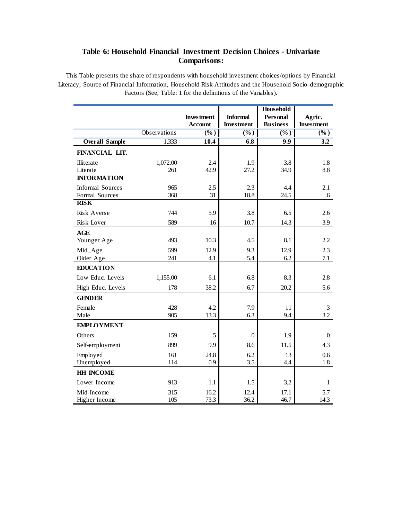### **Table 6: Household Financial Investment Decision Choices - Univariate Comparisons:**

This Table presents the share of respondents with household investment choices/options by Financial Literacy, Source of Financial Information, Household Risk Attitudes and the Household Socio -demographic Factors (See, Table: 1 for the definitions of the Variables).

|                         |              | <b>Investment</b> | <b>Informal</b>   | <b>Household</b><br><b>Personal</b> | Agric.            |
|-------------------------|--------------|-------------------|-------------------|-------------------------------------|-------------------|
|                         |              | <b>Account</b>    | <b>Investment</b> | <b>Business</b>                     | <b>Investment</b> |
|                         | Observations | (%)               | $(\%)$            | (%)                                 | $(\%)$            |
| <b>Overall Sample</b>   | 1,333        | 10.4              | 6.8               | 9.9                                 | $\overline{3.2}$  |
| FINANCIAL LIT.          |              |                   |                   |                                     |                   |
| Illiterate              | 1,072.00     | 2.4               | 1.9               | 3.8                                 | 1.8               |
| Literate                | 261          | 42.9              | 27.2              | 34.9                                | 8.8               |
| <b>INFORMATION</b>      |              |                   |                   |                                     |                   |
| <b>Informal Sources</b> | 965          | 2.5               | 2.3               | 4.4                                 | 2.1               |
| Formal Sources          | 368          | 31                | 18.8              | 24.5                                | 6                 |
| <b>RISK</b>             |              |                   |                   |                                     |                   |
| Risk Averse             | 744          | 5.9               | 3.8               | 6.5                                 | 2.6               |
| Risk Lover              | 589          | 16                | 10.7              | 14.3                                | 3.9               |
| <b>AGE</b>              |              |                   |                   |                                     |                   |
| Younger Age             | 493          | 10.3              | 4.5               | 8.1                                 | 2.2               |
| Mid_Age                 | 599          | 12.9              | 9.3               | 12.9                                | 2.3               |
| Older Age               | 241          | 4.1               | 5.4               | 6.2                                 | 7.1               |
| <b>EDUCATION</b>        |              |                   |                   |                                     |                   |
| Low Educ. Levels        | 1,155.00     | 6.1               | 6.8               | 8.3                                 | 2.8               |
| High Educ. Levels       | 178          | 38.2              | 6.7               | 20.2                                | 5.6               |
| <b>GENDER</b>           |              |                   |                   |                                     |                   |
| Female                  | 428          | 4.2               | 7.9               | 11                                  | 3                 |
| Male                    | 905          | 13.3              | 6.3               | 9.4                                 | 3.2               |
| <b>EMPLOYMENT</b>       |              |                   |                   |                                     |                   |
| Others                  | 159          | 5                 | $\theta$          | 1.9                                 | $\Omega$          |
| Self-employment         | 899          | 9.9               | 8.6               | 11.5                                | 4.3               |
| Employed                | 161          | 24.8              | 6.2               | 13                                  | 0.6               |
| Unemployed              | 114          | 0.9               | 3.5               | 4.4                                 | 1.8               |
| <b>HH INCOME</b>        |              |                   |                   |                                     |                   |
| Lower Income            | 913          | 1.1               | 1.5               | 3.2                                 | $\mathbf{1}$      |
| Mid-Income              | 315          | 16.2              | 12.4              | 17.1                                | 5.7               |
| Higher Income           | 105          | 73.3              | 36.2              | 46.7                                | 14.3              |